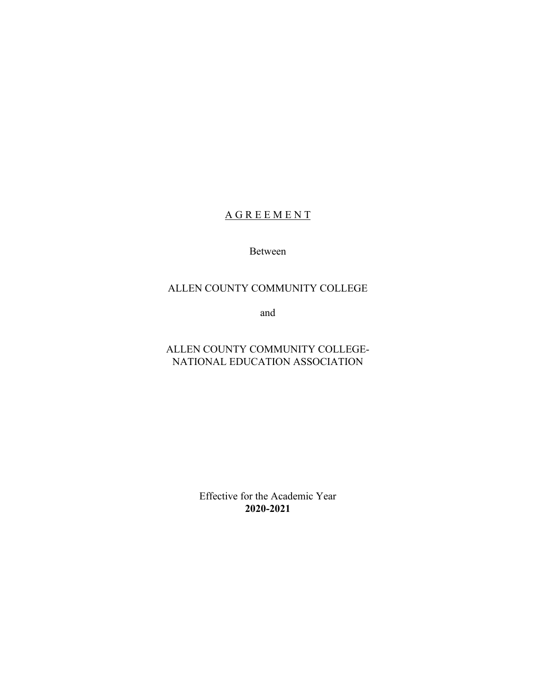# **A G R E E M E N T**

Between

### ALLEN COUNTY COMMUNITY COLLEGE

and

# ALLEN COUNTY COMMUNITY COLLEGE-NATIONAL EDUCATION ASSOCIATION

Effective for the Academic Year **2020-2021**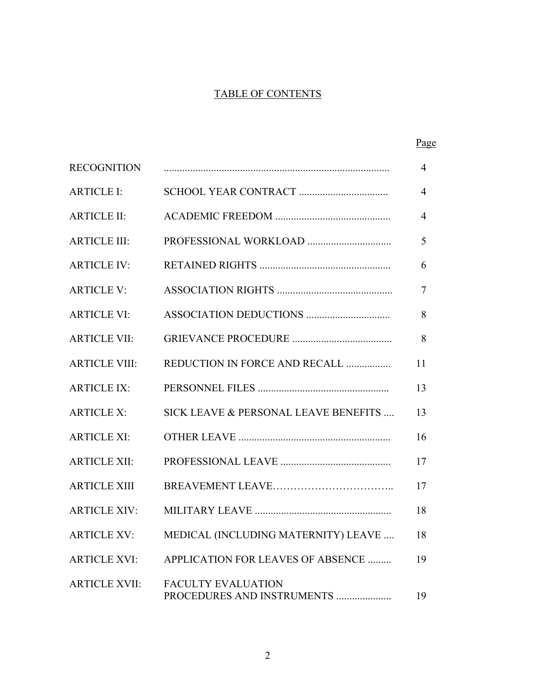# TABLE OF CONTENTS

|                      |                                                         | Page |
|----------------------|---------------------------------------------------------|------|
| <b>RECOGNITION</b>   |                                                         | 4    |
| <b>ARTICLE I:</b>    |                                                         | 4    |
| <b>ARTICLE II:</b>   |                                                         | 4    |
| <b>ARTICLE III:</b>  |                                                         | 5    |
| <b>ARTICLE IV:</b>   |                                                         | 6    |
| <b>ARTICLE V:</b>    |                                                         | 7    |
| <b>ARTICLE VI:</b>   |                                                         | 8    |
| <b>ARTICLE VII:</b>  |                                                         | 8    |
| <b>ARTICLE VIII:</b> | REDUCTION IN FORCE AND RECALL                           | 11   |
| <b>ARTICLE IX:</b>   |                                                         | 13   |
| <b>ARTICLE X:</b>    | SICK LEAVE & PERSONAL LEAVE BENEFITS                    | 13   |
| <b>ARTICLE XI:</b>   |                                                         | 16   |
| <b>ARTICLE XII:</b>  |                                                         | 17   |
| <b>ARTICLE XIII</b>  |                                                         | 17   |
| <b>ARTICLE XIV:</b>  |                                                         | 18   |
| <b>ARTICLE XV:</b>   | MEDICAL (INCLUDING MATERNITY) LEAVE                     | 18   |
| <b>ARTICLE XVI:</b>  | APPLICATION FOR LEAVES OF ABSENCE                       | 19   |
| <b>ARTICLE XVII:</b> | <b>FACULTY EVALUATION</b><br>PROCEDURES AND INSTRUMENTS | 19   |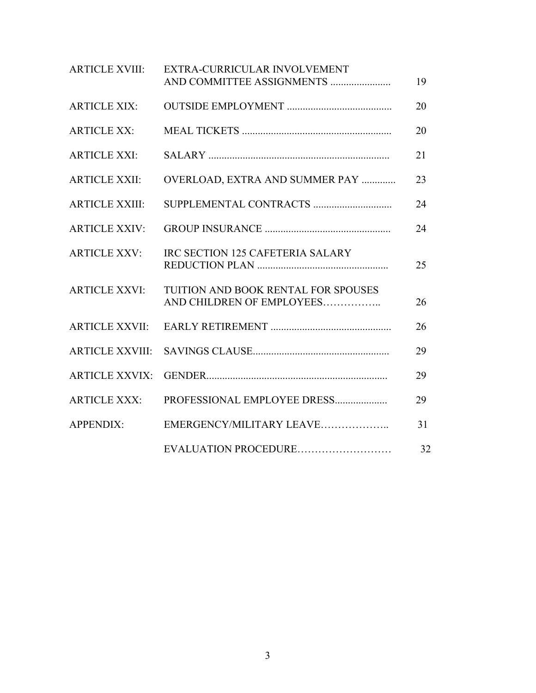| <b>ARTICLE XVIII:</b>  | EXTRA-CURRICULAR INVOLVEMENT<br>AND COMMITTEE ASSIGNMENTS        | 19 |
|------------------------|------------------------------------------------------------------|----|
| <b>ARTICLE XIX:</b>    |                                                                  | 20 |
| <b>ARTICLE XX:</b>     |                                                                  | 20 |
| <b>ARTICLE XXI:</b>    |                                                                  | 21 |
| <b>ARTICLE XXII:</b>   | OVERLOAD, EXTRA AND SUMMER PAY                                   | 23 |
| <b>ARTICLE XXIII:</b>  |                                                                  | 24 |
| <b>ARTICLE XXIV:</b>   |                                                                  | 24 |
| <b>ARTICLE XXV:</b>    | IRC SECTION 125 CAFETERIA SALARY                                 | 25 |
| <b>ARTICLE XXVI:</b>   | TUITION AND BOOK RENTAL FOR SPOUSES<br>AND CHILDREN OF EMPLOYEES | 26 |
| <b>ARTICLE XXVII:</b>  |                                                                  | 26 |
| <b>ARTICLE XXVIII:</b> |                                                                  | 29 |
| <b>ARTICLE XXVIX:</b>  |                                                                  | 29 |
| <b>ARTICLE XXX:</b>    | PROFESSIONAL EMPLOYEE DRESS                                      | 29 |
| <b>APPENDIX:</b>       | EMERGENCY/MILITARY LEAVE                                         | 31 |
|                        | EVALUATION PROCEDURE                                             | 32 |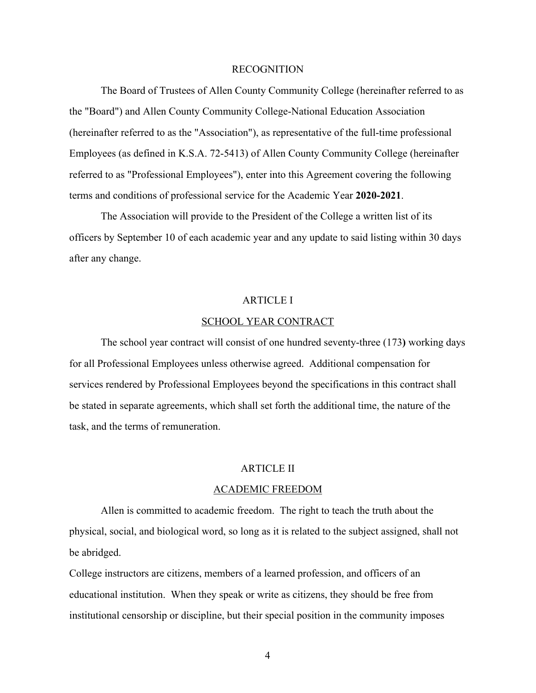#### RECOGNITION

The Board of Trustees of Allen County Community College (hereinafter referred to as the "Board") and Allen County Community College-National Education Association (hereinafter referred to as the "Association"), as representative of the full-time professional Employees (as defined in K.S.A. 72-5413) of Allen County Community College (hereinafter referred to as "Professional Employees"), enter into this Agreement covering the following terms and conditions of professional service for the Academic Year **2020-2021**.

The Association will provide to the President of the College a written list of its officers by September 10 of each academic year and any update to said listing within 30 days after any change.

#### ARTICLE I

#### SCHOOL YEAR CONTRACT

The school year contract will consist of one hundred seventy-three (173**)** working days for all Professional Employees unless otherwise agreed. Additional compensation for services rendered by Professional Employees beyond the specifications in this contract shall be stated in separate agreements, which shall set forth the additional time, the nature of the task, and the terms of remuneration.

### ARTICLE II

#### ACADEMIC FREEDOM

Allen is committed to academic freedom. The right to teach the truth about the physical, social, and biological word, so long as it is related to the subject assigned, shall not be abridged.

College instructors are citizens, members of a learned profession, and officers of an educational institution. When they speak or write as citizens, they should be free from institutional censorship or discipline, but their special position in the community imposes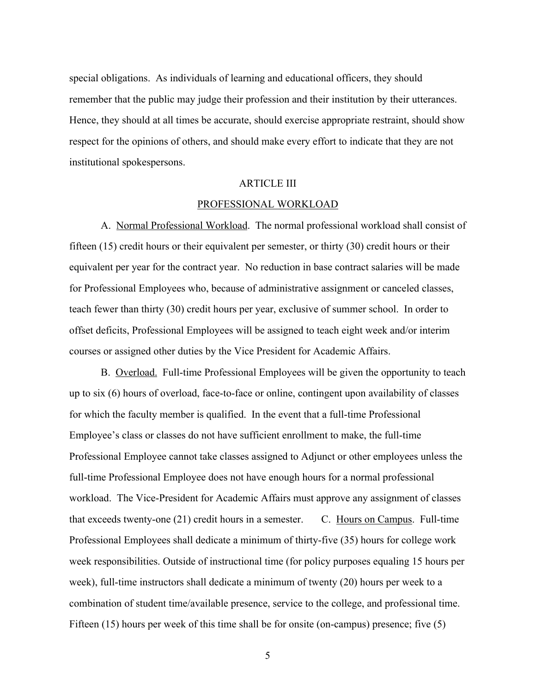special obligations. As individuals of learning and educational officers, they should remember that the public may judge their profession and their institution by their utterances. Hence, they should at all times be accurate, should exercise appropriate restraint, should show respect for the opinions of others, and should make every effort to indicate that they are not institutional spokespersons.

#### ARTICLE III

#### PROFESSIONAL WORKLOAD

A. Normal Professional Workload. The normal professional workload shall consist of fifteen (15) credit hours or their equivalent per semester, or thirty (30) credit hours or their equivalent per year for the contract year. No reduction in base contract salaries will be made for Professional Employees who, because of administrative assignment or canceled classes, teach fewer than thirty (30) credit hours per year, exclusive of summer school. In order to offset deficits, Professional Employees will be assigned to teach eight week and/or interim courses or assigned other duties by the Vice President for Academic Affairs.

B. Overload. Full-time Professional Employees will be given the opportunity to teach up to six (6) hours of overload, face-to-face or online, contingent upon availability of classes for which the faculty member is qualified. In the event that a full-time Professional Employee's class or classes do not have sufficient enrollment to make, the full-time Professional Employee cannot take classes assigned to Adjunct or other employees unless the full-time Professional Employee does not have enough hours for a normal professional workload. The Vice-President for Academic Affairs must approve any assignment of classes that exceeds twenty-one (21) credit hours in a semester. C. Hours on Campus. Full-time Professional Employees shall dedicate a minimum of thirty-five (35) hours for college work week responsibilities. Outside of instructional time (for policy purposes equaling 15 hours per week), full-time instructors shall dedicate a minimum of twenty (20) hours per week to a combination of student time/available presence, service to the college, and professional time. Fifteen (15) hours per week of this time shall be for onsite (on-campus) presence; five (5)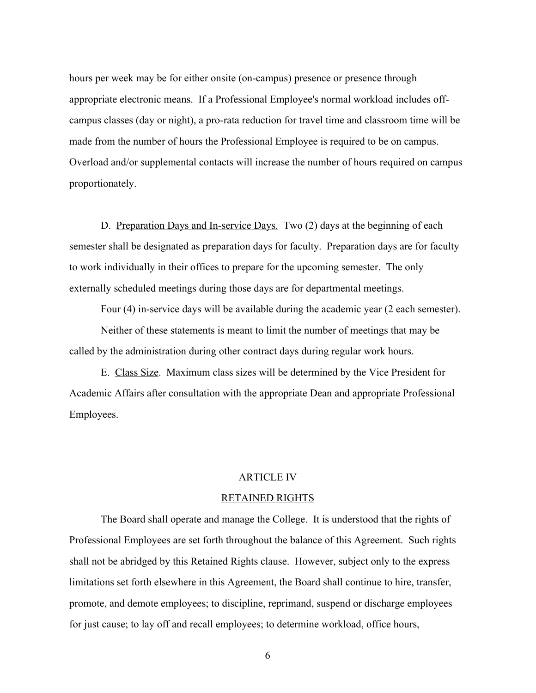hours per week may be for either onsite (on-campus) presence or presence through appropriate electronic means. If a Professional Employee's normal workload includes offcampus classes (day or night), a pro-rata reduction for travel time and classroom time will be made from the number of hours the Professional Employee is required to be on campus. Overload and/or supplemental contacts will increase the number of hours required on campus proportionately.

D. Preparation Days and In-service Days. Two (2) days at the beginning of each semester shall be designated as preparation days for faculty. Preparation days are for faculty to work individually in their offices to prepare for the upcoming semester. The only externally scheduled meetings during those days are for departmental meetings.

Four (4) in-service days will be available during the academic year (2 each semester). Neither of these statements is meant to limit the number of meetings that may be called by the administration during other contract days during regular work hours.

E. Class Size. Maximum class sizes will be determined by the Vice President for Academic Affairs after consultation with the appropriate Dean and appropriate Professional Employees.

### ARTICLE IV

#### RETAINED RIGHTS

The Board shall operate and manage the College. It is understood that the rights of Professional Employees are set forth throughout the balance of this Agreement. Such rights shall not be abridged by this Retained Rights clause. However, subject only to the express limitations set forth elsewhere in this Agreement, the Board shall continue to hire, transfer, promote, and demote employees; to discipline, reprimand, suspend or discharge employees for just cause; to lay off and recall employees; to determine workload, office hours,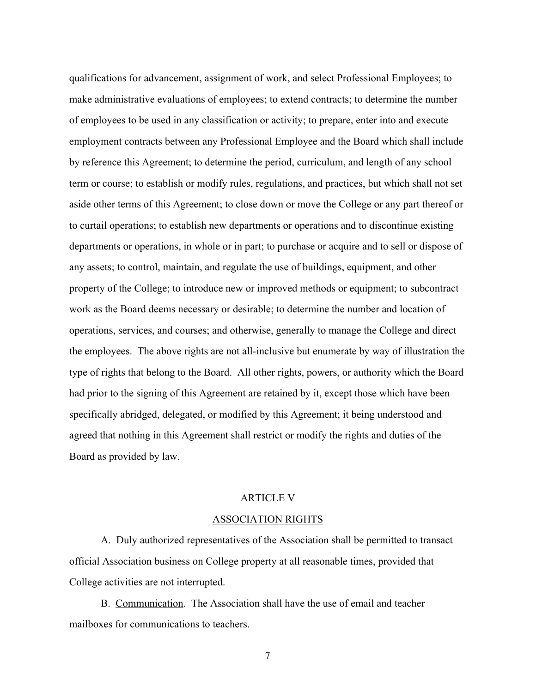qualifications for advancement, assignment of work, and select Professional Employees; to make administrative evaluations of employees; to extend contracts; to determine the number of employees to be used in any classification or activity; to prepare, enter into and execute employment contracts between any Professional Employee and the Board which shall include by reference this Agreement; to determine the period, curriculum, and length of any school term or course; to establish or modify rules, regulations, and practices, but which shall not set aside other terms of this Agreement; to close down or move the College or any part thereof or to curtail operations; to establish new departments or operations and to discontinue existing departments or operations, in whole or in part; to purchase or acquire and to sell or dispose of any assets; to control, maintain, and regulate the use of buildings, equipment, and other property of the College; to introduce new or improved methods or equipment; to subcontract work as the Board deems necessary or desirable; to determine the number and location of operations, services, and courses; and otherwise, generally to manage the College and direct the employees. The above rights are not all-inclusive but enumerate by way of illustration the type of rights that belong to the Board. All other rights, powers, or authority which the Board had prior to the signing of this Agreement are retained by it, except those which have been specifically abridged, delegated, or modified by this Agreement; it being understood and agreed that nothing in this Agreement shall restrict or modify the rights and duties of the Board as provided by law.

#### ARTICLE V

#### ASSOCIATION RIGHTS

A. Duly authorized representatives of the Association shall be permitted to transact official Association business on College property at all reasonable times, provided that College activities are not interrupted.

B. Communication. The Association shall have the use of email and teacher mailboxes for communications to teachers.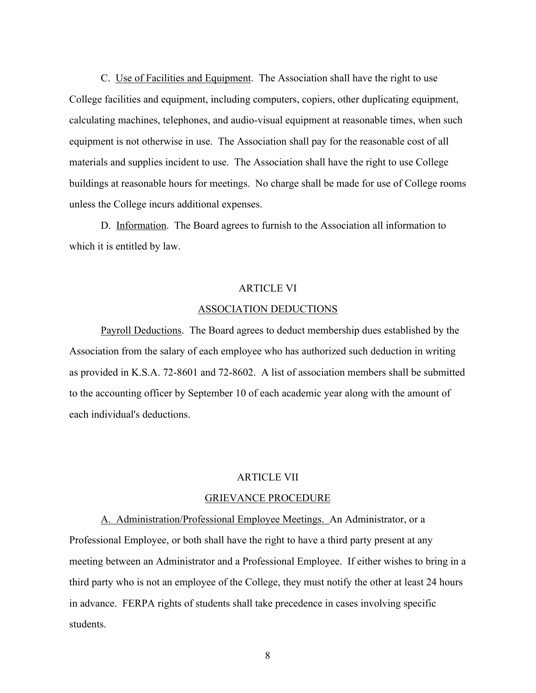C. Use of Facilities and Equipment. The Association shall have the right to use College facilities and equipment, including computers, copiers, other duplicating equipment, calculating machines, telephones, and audio-visual equipment at reasonable times, when such equipment is not otherwise in use. The Association shall pay for the reasonable cost of all materials and supplies incident to use. The Association shall have the right to use College buildings at reasonable hours for meetings. No charge shall be made for use of College rooms unless the College incurs additional expenses.

D. Information. The Board agrees to furnish to the Association all information to which it is entitled by law.

#### ARTICLE VI

#### ASSOCIATION DEDUCTIONS

Payroll Deductions. The Board agrees to deduct membership dues established by the Association from the salary of each employee who has authorized such deduction in writing as provided in K.S.A. 72-8601 and 72-8602. A list of association members shall be submitted to the accounting officer by September 10 of each academic year along with the amount of each individual's deductions.

#### ARTICLE VII

#### GRIEVANCE PROCEDURE

A. Administration/Professional Employee Meetings. An Administrator, or a Professional Employee, or both shall have the right to have a third party present at any meeting between an Administrator and a Professional Employee. If either wishes to bring in a third party who is not an employee of the College, they must notify the other at least 24 hours in advance. FERPA rights of students shall take precedence in cases involving specific students.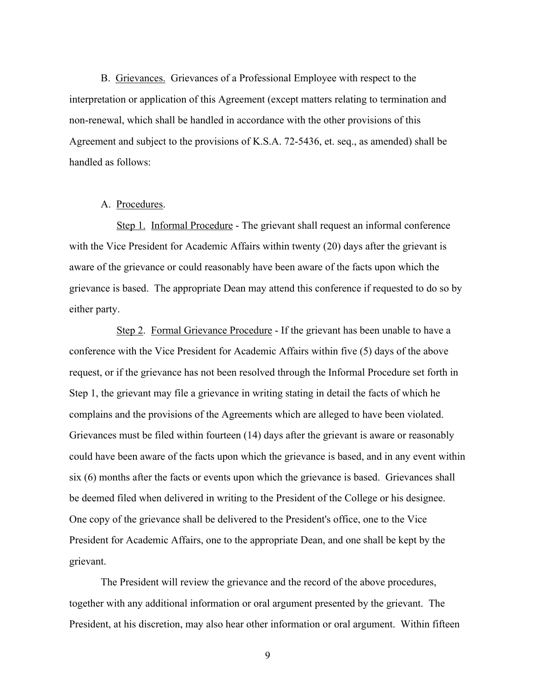B. Grievances. Grievances of a Professional Employee with respect to the interpretation or application of this Agreement (except matters relating to termination and non-renewal, which shall be handled in accordance with the other provisions of this Agreement and subject to the provisions of K.S.A. 72-5436, et. seq., as amended) shall be handled as follows:

### A. Procedures.

 Step 1. Informal Procedure - The grievant shall request an informal conference with the Vice President for Academic Affairs within twenty (20) days after the grievant is aware of the grievance or could reasonably have been aware of the facts upon which the grievance is based. The appropriate Dean may attend this conference if requested to do so by either party.

 Step 2. Formal Grievance Procedure - If the grievant has been unable to have a conference with the Vice President for Academic Affairs within five (5) days of the above request, or if the grievance has not been resolved through the Informal Procedure set forth in Step 1, the grievant may file a grievance in writing stating in detail the facts of which he complains and the provisions of the Agreements which are alleged to have been violated. Grievances must be filed within fourteen (14) days after the grievant is aware or reasonably could have been aware of the facts upon which the grievance is based, and in any event within six (6) months after the facts or events upon which the grievance is based. Grievances shall be deemed filed when delivered in writing to the President of the College or his designee. One copy of the grievance shall be delivered to the President's office, one to the Vice President for Academic Affairs, one to the appropriate Dean, and one shall be kept by the grievant.

The President will review the grievance and the record of the above procedures, together with any additional information or oral argument presented by the grievant. The President, at his discretion, may also hear other information or oral argument. Within fifteen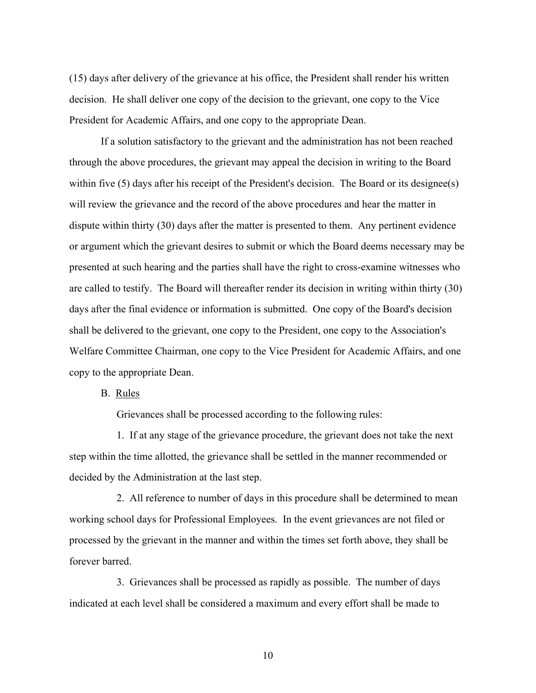(15) days after delivery of the grievance at his office, the President shall render his written decision. He shall deliver one copy of the decision to the grievant, one copy to the Vice President for Academic Affairs, and one copy to the appropriate Dean.

If a solution satisfactory to the grievant and the administration has not been reached through the above procedures, the grievant may appeal the decision in writing to the Board within five (5) days after his receipt of the President's decision. The Board or its designee(s) will review the grievance and the record of the above procedures and hear the matter in dispute within thirty (30) days after the matter is presented to them. Any pertinent evidence or argument which the grievant desires to submit or which the Board deems necessary may be presented at such hearing and the parties shall have the right to cross-examine witnesses who are called to testify. The Board will thereafter render its decision in writing within thirty (30) days after the final evidence or information is submitted. One copy of the Board's decision shall be delivered to the grievant, one copy to the President, one copy to the Association's Welfare Committee Chairman, one copy to the Vice President for Academic Affairs, and one copy to the appropriate Dean.

B. Rules

Grievances shall be processed according to the following rules:

 1. If at any stage of the grievance procedure, the grievant does not take the next step within the time allotted, the grievance shall be settled in the manner recommended or decided by the Administration at the last step.

 2. All reference to number of days in this procedure shall be determined to mean working school days for Professional Employees. In the event grievances are not filed or processed by the grievant in the manner and within the times set forth above, they shall be forever barred.

 3. Grievances shall be processed as rapidly as possible. The number of days indicated at each level shall be considered a maximum and every effort shall be made to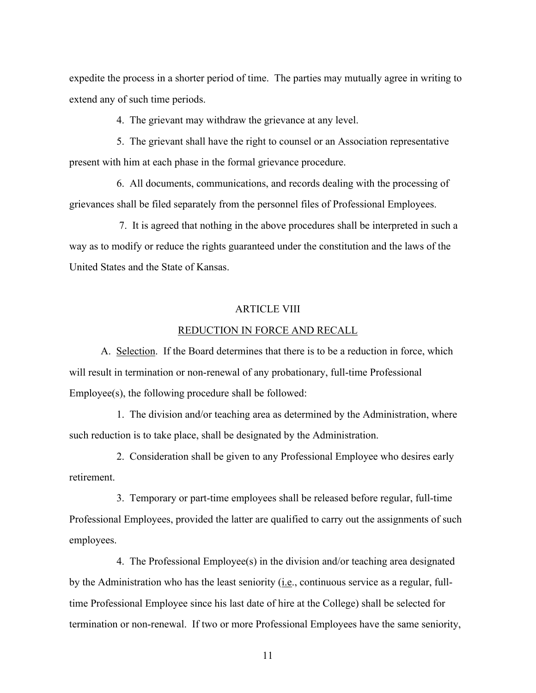expedite the process in a shorter period of time. The parties may mutually agree in writing to extend any of such time periods.

4. The grievant may withdraw the grievance at any level.

 5. The grievant shall have the right to counsel or an Association representative present with him at each phase in the formal grievance procedure.

 6. All documents, communications, and records dealing with the processing of grievances shall be filed separately from the personnel files of Professional Employees.

 7. It is agreed that nothing in the above procedures shall be interpreted in such a way as to modify or reduce the rights guaranteed under the constitution and the laws of the United States and the State of Kansas.

### ARTICLE VIII

#### REDUCTION IN FORCE AND RECALL

A. Selection. If the Board determines that there is to be a reduction in force, which will result in termination or non-renewal of any probationary, full-time Professional Employee(s), the following procedure shall be followed:

 1. The division and/or teaching area as determined by the Administration, where such reduction is to take place, shall be designated by the Administration.

 2. Consideration shall be given to any Professional Employee who desires early retirement.

 3. Temporary or part-time employees shall be released before regular, full-time Professional Employees, provided the latter are qualified to carry out the assignments of such employees.

 4. The Professional Employee(s) in the division and/or teaching area designated by the Administration who has the least seniority (i.e., continuous service as a regular, fulltime Professional Employee since his last date of hire at the College) shall be selected for termination or non-renewal. If two or more Professional Employees have the same seniority,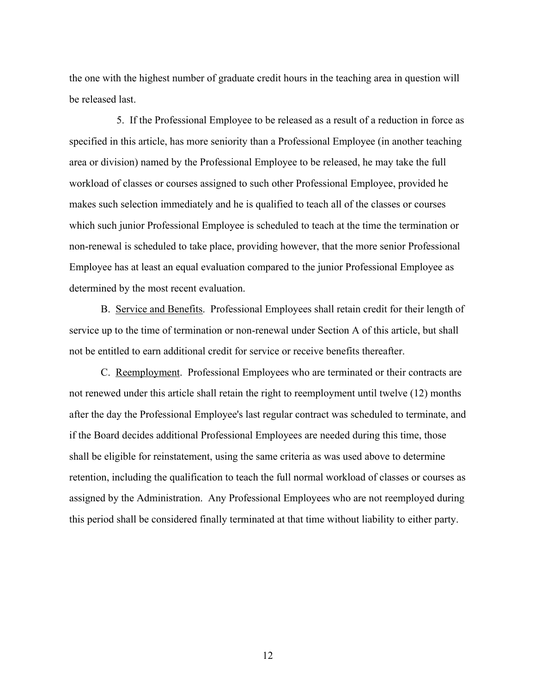the one with the highest number of graduate credit hours in the teaching area in question will be released last.

 5. If the Professional Employee to be released as a result of a reduction in force as specified in this article, has more seniority than a Professional Employee (in another teaching area or division) named by the Professional Employee to be released, he may take the full workload of classes or courses assigned to such other Professional Employee, provided he makes such selection immediately and he is qualified to teach all of the classes or courses which such junior Professional Employee is scheduled to teach at the time the termination or non-renewal is scheduled to take place, providing however, that the more senior Professional Employee has at least an equal evaluation compared to the junior Professional Employee as determined by the most recent evaluation.

B. Service and Benefits. Professional Employees shall retain credit for their length of service up to the time of termination or non-renewal under Section A of this article, but shall not be entitled to earn additional credit for service or receive benefits thereafter.

C. Reemployment. Professional Employees who are terminated or their contracts are not renewed under this article shall retain the right to reemployment until twelve (12) months after the day the Professional Employee's last regular contract was scheduled to terminate, and if the Board decides additional Professional Employees are needed during this time, those shall be eligible for reinstatement, using the same criteria as was used above to determine retention, including the qualification to teach the full normal workload of classes or courses as assigned by the Administration. Any Professional Employees who are not reemployed during this period shall be considered finally terminated at that time without liability to either party.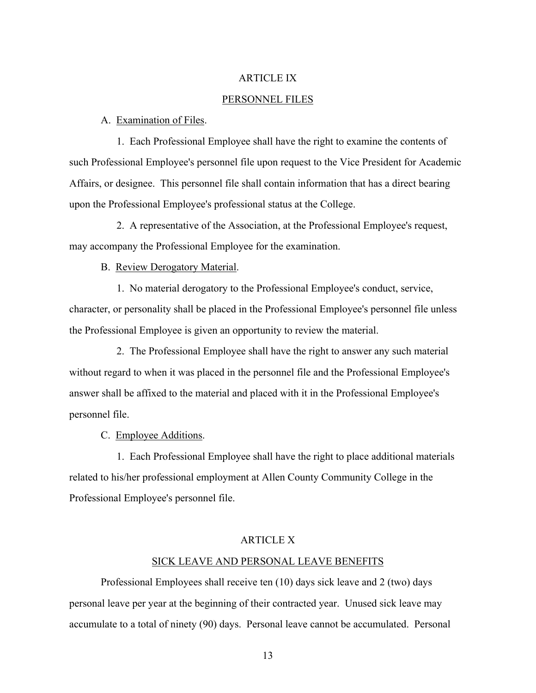### ARTICLE IX

#### PERSONNEL FILES

#### A. Examination of Files.

 1. Each Professional Employee shall have the right to examine the contents of such Professional Employee's personnel file upon request to the Vice President for Academic Affairs, or designee. This personnel file shall contain information that has a direct bearing upon the Professional Employee's professional status at the College.

 2. A representative of the Association, at the Professional Employee's request, may accompany the Professional Employee for the examination.

B. Review Derogatory Material.

 1. No material derogatory to the Professional Employee's conduct, service, character, or personality shall be placed in the Professional Employee's personnel file unless the Professional Employee is given an opportunity to review the material.

 2. The Professional Employee shall have the right to answer any such material without regard to when it was placed in the personnel file and the Professional Employee's answer shall be affixed to the material and placed with it in the Professional Employee's personnel file.

C. Employee Additions.

 1. Each Professional Employee shall have the right to place additional materials related to his/her professional employment at Allen County Community College in the Professional Employee's personnel file.

### ARTICLE X

#### SICK LEAVE AND PERSONAL LEAVE BENEFITS

Professional Employees shall receive ten (10) days sick leave and 2 (two) days personal leave per year at the beginning of their contracted year. Unused sick leave may accumulate to a total of ninety (90) days. Personal leave cannot be accumulated. Personal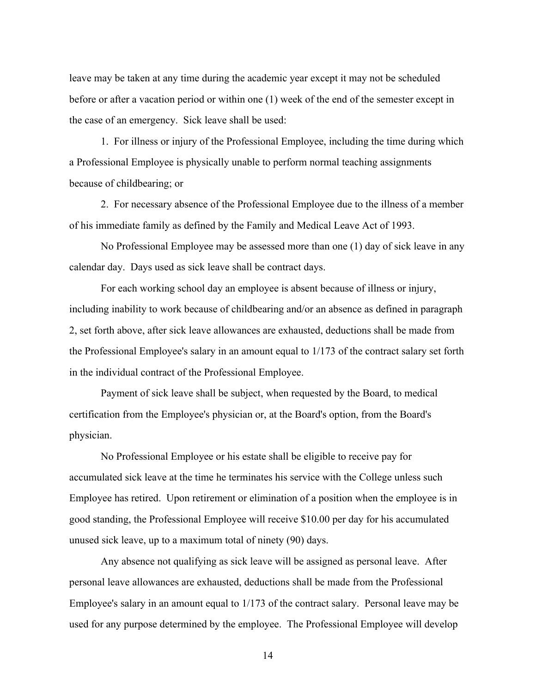leave may be taken at any time during the academic year except it may not be scheduled before or after a vacation period or within one (1) week of the end of the semester except in the case of an emergency. Sick leave shall be used:

1. For illness or injury of the Professional Employee, including the time during which a Professional Employee is physically unable to perform normal teaching assignments because of childbearing; or

2. For necessary absence of the Professional Employee due to the illness of a member of his immediate family as defined by the Family and Medical Leave Act of 1993.

No Professional Employee may be assessed more than one (1) day of sick leave in any calendar day. Days used as sick leave shall be contract days.

For each working school day an employee is absent because of illness or injury, including inability to work because of childbearing and/or an absence as defined in paragraph 2, set forth above, after sick leave allowances are exhausted, deductions shall be made from the Professional Employee's salary in an amount equal to 1/173 of the contract salary set forth in the individual contract of the Professional Employee.

Payment of sick leave shall be subject, when requested by the Board, to medical certification from the Employee's physician or, at the Board's option, from the Board's physician.

No Professional Employee or his estate shall be eligible to receive pay for accumulated sick leave at the time he terminates his service with the College unless such Employee has retired. Upon retirement or elimination of a position when the employee is in good standing, the Professional Employee will receive \$10.00 per day for his accumulated unused sick leave, up to a maximum total of ninety (90) days.

Any absence not qualifying as sick leave will be assigned as personal leave. After personal leave allowances are exhausted, deductions shall be made from the Professional Employee's salary in an amount equal to 1/173 of the contract salary. Personal leave may be used for any purpose determined by the employee. The Professional Employee will develop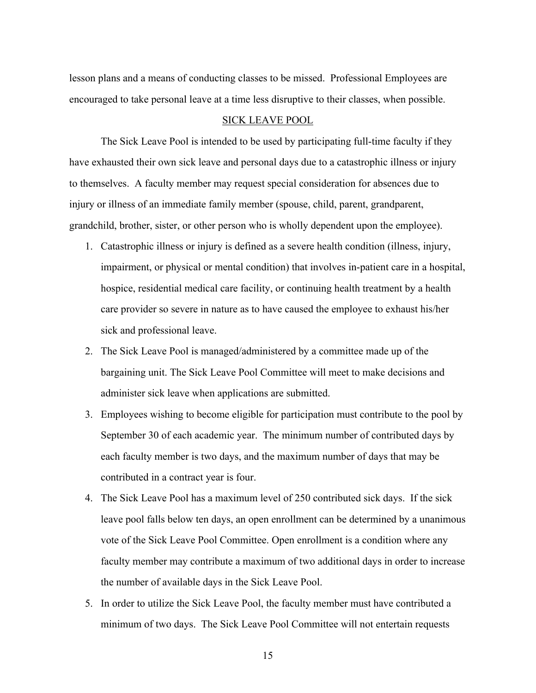lesson plans and a means of conducting classes to be missed. Professional Employees are encouraged to take personal leave at a time less disruptive to their classes, when possible.

### SICK LEAVE POOL

The Sick Leave Pool is intended to be used by participating full-time faculty if they have exhausted their own sick leave and personal days due to a catastrophic illness or injury to themselves. A faculty member may request special consideration for absences due to injury or illness of an immediate family member (spouse, child, parent, grandparent, grandchild, brother, sister, or other person who is wholly dependent upon the employee).

- 1. Catastrophic illness or injury is defined as a severe health condition (illness, injury, impairment, or physical or mental condition) that involves in-patient care in a hospital, hospice, residential medical care facility, or continuing health treatment by a health care provider so severe in nature as to have caused the employee to exhaust his/her sick and professional leave.
- 2. The Sick Leave Pool is managed/administered by a committee made up of the bargaining unit. The Sick Leave Pool Committee will meet to make decisions and administer sick leave when applications are submitted.
- 3. Employees wishing to become eligible for participation must contribute to the pool by September 30 of each academic year. The minimum number of contributed days by each faculty member is two days, and the maximum number of days that may be contributed in a contract year is four.
- 4. The Sick Leave Pool has a maximum level of 250 contributed sick days. If the sick leave pool falls below ten days, an open enrollment can be determined by a unanimous vote of the Sick Leave Pool Committee. Open enrollment is a condition where any faculty member may contribute a maximum of two additional days in order to increase the number of available days in the Sick Leave Pool.
- 5. In order to utilize the Sick Leave Pool, the faculty member must have contributed a minimum of two days. The Sick Leave Pool Committee will not entertain requests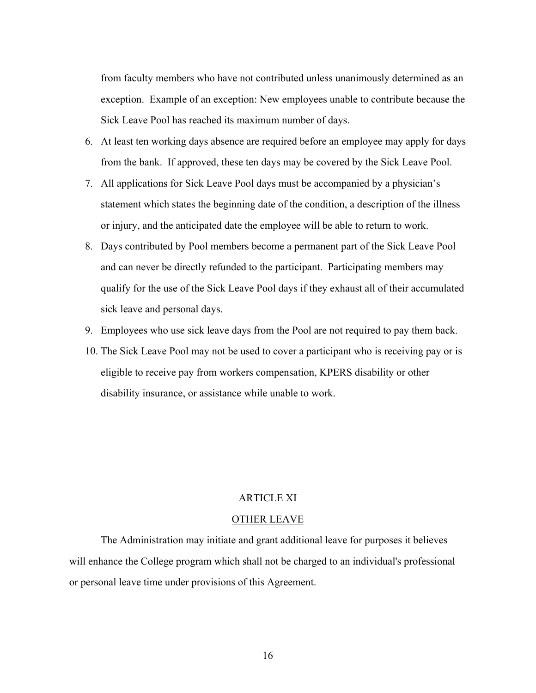from faculty members who have not contributed unless unanimously determined as an exception. Example of an exception: New employees unable to contribute because the Sick Leave Pool has reached its maximum number of days.

- 6. At least ten working days absence are required before an employee may apply for days from the bank. If approved, these ten days may be covered by the Sick Leave Pool.
- 7. All applications for Sick Leave Pool days must be accompanied by a physician's statement which states the beginning date of the condition, a description of the illness or injury, and the anticipated date the employee will be able to return to work.
- 8. Days contributed by Pool members become a permanent part of the Sick Leave Pool and can never be directly refunded to the participant. Participating members may qualify for the use of the Sick Leave Pool days if they exhaust all of their accumulated sick leave and personal days.
- 9. Employees who use sick leave days from the Pool are not required to pay them back.
- 10. The Sick Leave Pool may not be used to cover a participant who is receiving pay or is eligible to receive pay from workers compensation, KPERS disability or other disability insurance, or assistance while unable to work.

#### ARTICLE XI

#### OTHER LEAVE

The Administration may initiate and grant additional leave for purposes it believes will enhance the College program which shall not be charged to an individual's professional or personal leave time under provisions of this Agreement.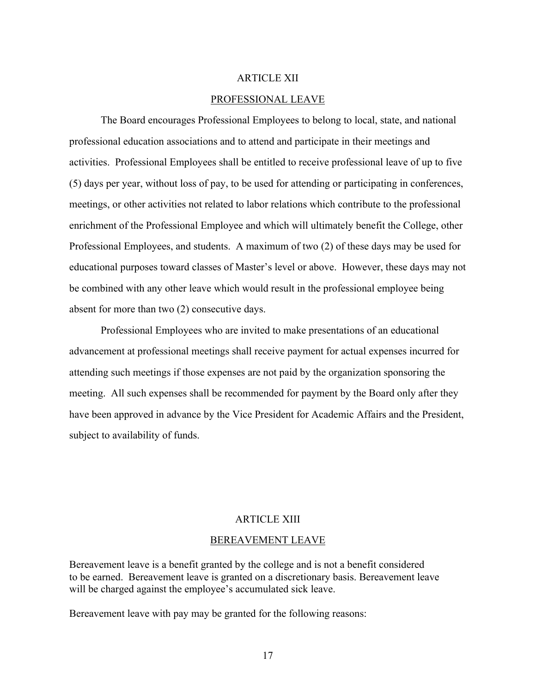### ARTICLE XII

#### PROFESSIONAL LEAVE

The Board encourages Professional Employees to belong to local, state, and national professional education associations and to attend and participate in their meetings and activities. Professional Employees shall be entitled to receive professional leave of up to five (5) days per year, without loss of pay, to be used for attending or participating in conferences, meetings, or other activities not related to labor relations which contribute to the professional enrichment of the Professional Employee and which will ultimately benefit the College, other Professional Employees, and students. A maximum of two (2) of these days may be used for educational purposes toward classes of Master's level or above. However, these days may not be combined with any other leave which would result in the professional employee being absent for more than two (2) consecutive days.

Professional Employees who are invited to make presentations of an educational advancement at professional meetings shall receive payment for actual expenses incurred for attending such meetings if those expenses are not paid by the organization sponsoring the meeting. All such expenses shall be recommended for payment by the Board only after they have been approved in advance by the Vice President for Academic Affairs and the President, subject to availability of funds.

#### ARTICLE XIII

#### BEREAVEMENT LEAVE

Bereavement leave is a benefit granted by the college and is not a benefit considered to be earned. Bereavement leave is granted on a discretionary basis. Bereavement leave will be charged against the employee's accumulated sick leave.

Bereavement leave with pay may be granted for the following reasons: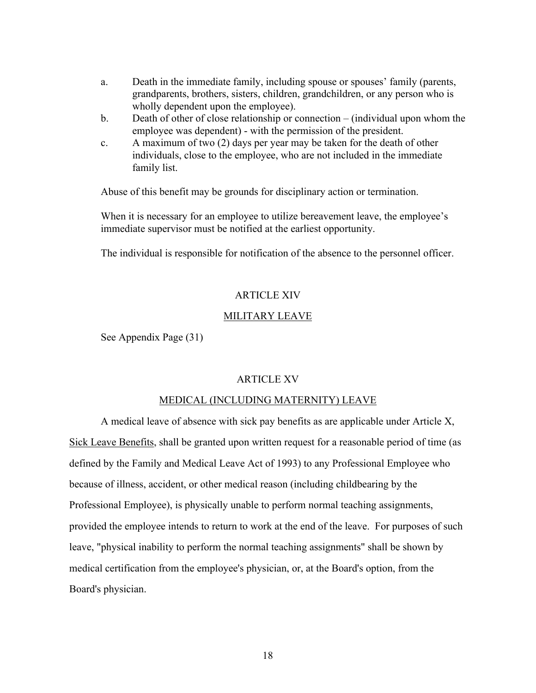- a. Death in the immediate family, including spouse or spouses' family (parents, grandparents, brothers, sisters, children, grandchildren, or any person who is wholly dependent upon the employee).
- b. Death of other of close relationship or connection (individual upon whom the employee was dependent) - with the permission of the president.
- c. A maximum of two (2) days per year may be taken for the death of other individuals, close to the employee, who are not included in the immediate family list.

Abuse of this benefit may be grounds for disciplinary action or termination.

When it is necessary for an employee to utilize bereavement leave, the employee's immediate supervisor must be notified at the earliest opportunity.

The individual is responsible for notification of the absence to the personnel officer.

### ARTICLE XIV

#### MILITARY LEAVE

See Appendix Page (31)

### ARTICLE XV

#### MEDICAL (INCLUDING MATERNITY) LEAVE

A medical leave of absence with sick pay benefits as are applicable under Article X, Sick Leave Benefits, shall be granted upon written request for a reasonable period of time (as defined by the Family and Medical Leave Act of 1993) to any Professional Employee who because of illness, accident, or other medical reason (including childbearing by the Professional Employee), is physically unable to perform normal teaching assignments, provided the employee intends to return to work at the end of the leave. For purposes of such leave, "physical inability to perform the normal teaching assignments" shall be shown by medical certification from the employee's physician, or, at the Board's option, from the Board's physician.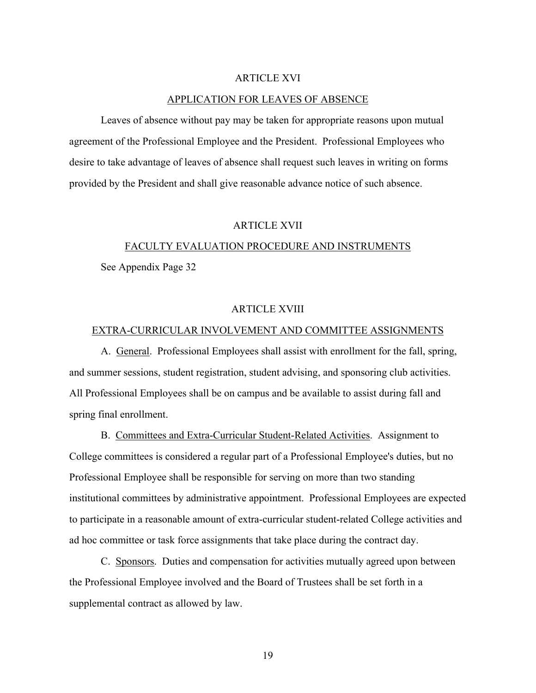### ARTICLE XVI

#### APPLICATION FOR LEAVES OF ABSENCE

Leaves of absence without pay may be taken for appropriate reasons upon mutual agreement of the Professional Employee and the President. Professional Employees who desire to take advantage of leaves of absence shall request such leaves in writing on forms provided by the President and shall give reasonable advance notice of such absence.

#### ARTICLE XVII

# FACULTY EVALUATION PROCEDURE AND INSTRUMENTS

See Appendix Page 32

### ARTICLE XVIII

### EXTRA-CURRICULAR INVOLVEMENT AND COMMITTEE ASSIGNMENTS

A. General. Professional Employees shall assist with enrollment for the fall, spring, and summer sessions, student registration, student advising, and sponsoring club activities. All Professional Employees shall be on campus and be available to assist during fall and spring final enrollment.

B. Committees and Extra-Curricular Student-Related Activities. Assignment to College committees is considered a regular part of a Professional Employee's duties, but no Professional Employee shall be responsible for serving on more than two standing institutional committees by administrative appointment. Professional Employees are expected to participate in a reasonable amount of extra-curricular student-related College activities and ad hoc committee or task force assignments that take place during the contract day.

C. Sponsors. Duties and compensation for activities mutually agreed upon between the Professional Employee involved and the Board of Trustees shall be set forth in a supplemental contract as allowed by law.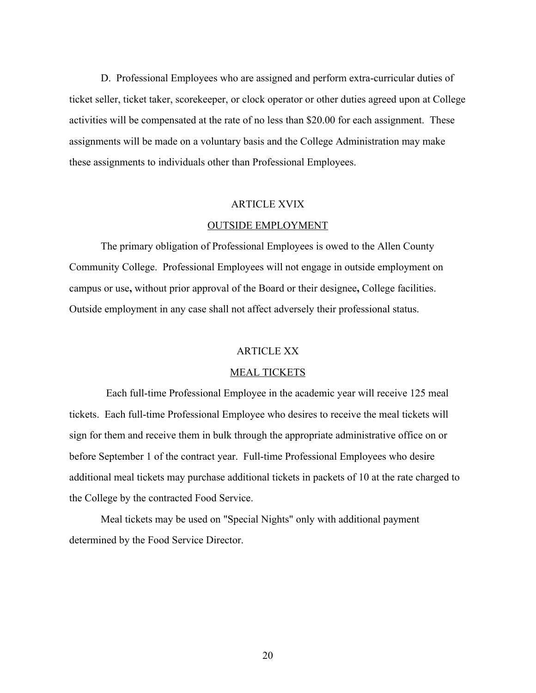D. Professional Employees who are assigned and perform extra-curricular duties of ticket seller, ticket taker, scorekeeper, or clock operator or other duties agreed upon at College activities will be compensated at the rate of no less than \$20.00 for each assignment. These assignments will be made on a voluntary basis and the College Administration may make these assignments to individuals other than Professional Employees.

#### ARTICLE XVIX

#### OUTSIDE EMPLOYMENT

The primary obligation of Professional Employees is owed to the Allen County Community College. Professional Employees will not engage in outside employment on campus or use**,** without prior approval of the Board or their designee**,** College facilities. Outside employment in any case shall not affect adversely their professional status.

#### ARTICLE XX

#### MEAL TICKETS

Each full-time Professional Employee in the academic year will receive 125 meal tickets. Each full-time Professional Employee who desires to receive the meal tickets will sign for them and receive them in bulk through the appropriate administrative office on or before September 1 of the contract year. Full-time Professional Employees who desire additional meal tickets may purchase additional tickets in packets of 10 at the rate charged to the College by the contracted Food Service.

Meal tickets may be used on "Special Nights" only with additional payment determined by the Food Service Director.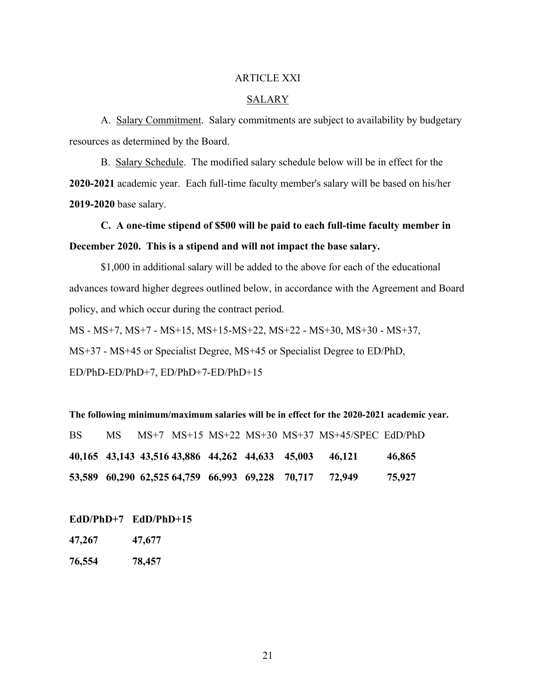### ARTICLE XXI

#### SALARY

A. Salary Commitment. Salary commitments are subject to availability by budgetary resources as determined by the Board.

B. Salary Schedule. The modified salary schedule below will be in effect for the **2020-2021** academic year. Each full-time faculty member's salary will be based on his/her **2019-2020** base salary.

**C. A one-time stipend of \$500 will be paid to each full-time faculty member in December 2020. This is a stipend and will not impact the base salary.**

\$1,000 in additional salary will be added to the above for each of the educational advances toward higher degrees outlined below, in accordance with the Agreement and Board policy, and which occur during the contract period.

MS - MS+7, MS+7 - MS+15, MS+15-MS+22, MS+22 - MS+30, MS+30 - MS+37, MS+37 - MS+45 or Specialist Degree, MS+45 or Specialist Degree to ED/PhD, ED/PhD-ED/PhD+7, ED/PhD+7-ED/PhD+15

**The following minimum/maximum salaries will be in effect for the 2020-2021 academic year.** BS MS MS+7 MS+15 MS+22 MS+30 MS+37 MS+45/SPEC EdD/PhD **40,165 43,143 43,516 43,886 44,262 44,633 45,003 46,121 46,865 53,589 60,290 62,525 64,759 66,993 69,228 70,717 72,949 75,927**

**EdD/PhD+7 EdD/PhD+15**

**47,267 47,677**

**76,554 78,457**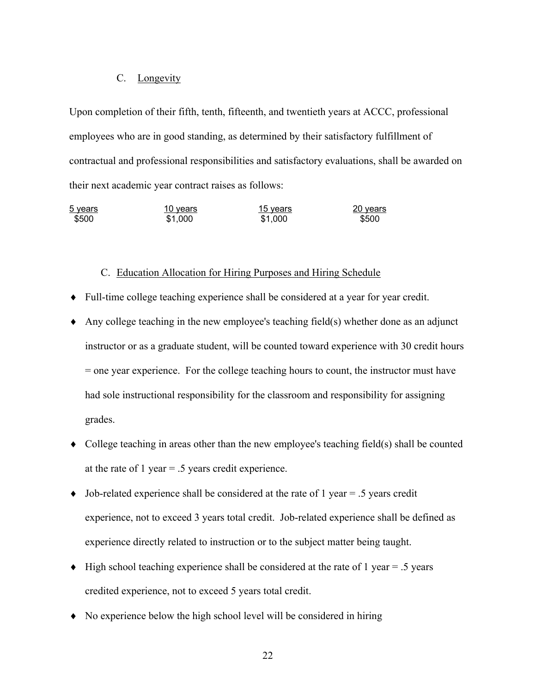### C. Longevity

Upon completion of their fifth, tenth, fifteenth, and twentieth years at ACCC, professional employees who are in good standing, as determined by their satisfactory fulfillment of contractual and professional responsibilities and satisfactory evaluations, shall be awarded on their next academic year contract raises as follows:

| 5 years | <u>10 years</u> | <u>15 years</u> | 20 years |
|---------|-----------------|-----------------|----------|
| \$500   | \$1,000         | \$1,000         | \$500    |

#### C. Education Allocation for Hiring Purposes and Hiring Schedule

- $\bullet$  Full-time college teaching experience shall be considered at a year for year credit.
- $\triangle$  Any college teaching in the new employee's teaching field(s) whether done as an adjunct instructor or as a graduate student, will be counted toward experience with 30 credit hours = one year experience. For the college teaching hours to count, the instructor must have had sole instructional responsibility for the classroom and responsibility for assigning grades.
- $\bullet$  College teaching in areas other than the new employee's teaching field(s) shall be counted at the rate of 1 year = .5 years credit experience.
- Job-related experience shall be considered at the rate of 1 year = .5 years credit experience, not to exceed 3 years total credit. Job-related experience shall be defined as experience directly related to instruction or to the subject matter being taught.
- $\blacklozenge$  High school teaching experience shall be considered at the rate of 1 year = .5 years credited experience, not to exceed 5 years total credit.
- $\bullet$  No experience below the high school level will be considered in hiring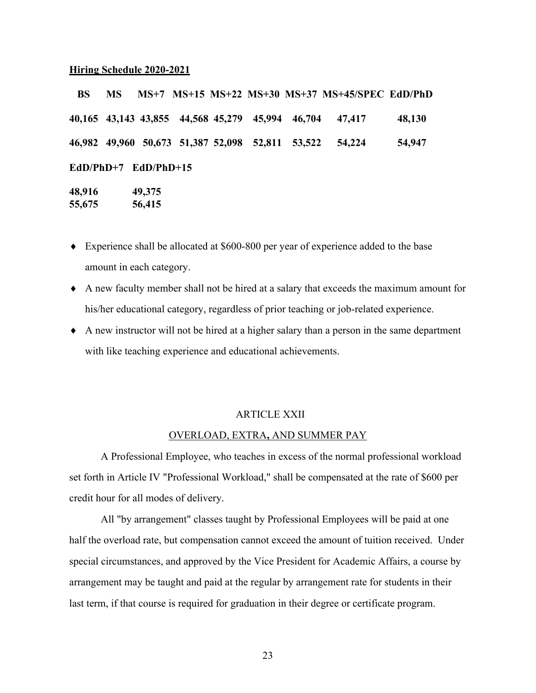#### **Hiring Schedule 2020-2021**

 **BS MS MS+7 MS+15 MS+22 MS+30 MS+37 MS+45/SPEC EdD/PhD 40,165 43,143 43,855 44,568 45,279 45,994 46,704 47,417 48,130 46,982 49,960 50,673 51,387 52,098 52,811 53,522 54,224 54,947 EdD/PhD+7 EdD/PhD+15 48,916 49,375**

**55,675 56,415**

- $\bullet$  Experience shall be allocated at \$600-800 per year of experience added to the base amount in each category.
- A new faculty member shall not be hired at a salary that exceeds the maximum amount for his/her educational category, regardless of prior teaching or job-related experience.
- $\triangle$  A new instructor will not be hired at a higher salary than a person in the same department with like teaching experience and educational achievements.

#### ARTICLE XXII

### OVERLOAD, EXTRA**,** AND SUMMER PAY

A Professional Employee, who teaches in excess of the normal professional workload set forth in Article IV "Professional Workload," shall be compensated at the rate of \$600 per credit hour for all modes of delivery.

All "by arrangement" classes taught by Professional Employees will be paid at one half the overload rate, but compensation cannot exceed the amount of tuition received. Under special circumstances, and approved by the Vice President for Academic Affairs, a course by arrangement may be taught and paid at the regular by arrangement rate for students in their last term, if that course is required for graduation in their degree or certificate program.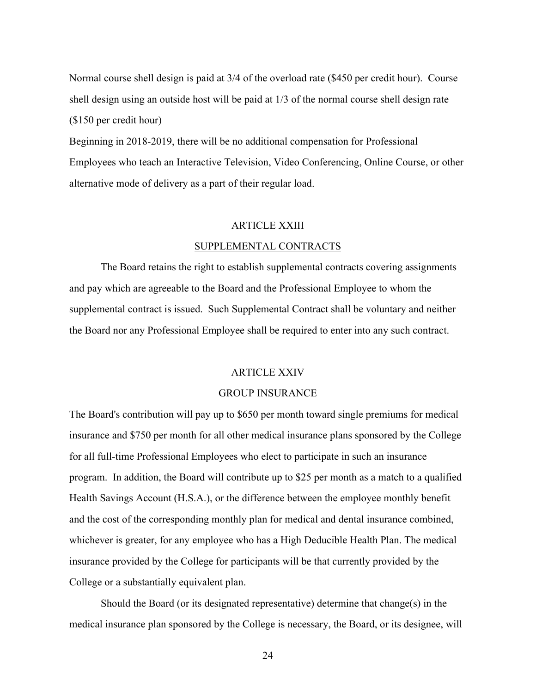Normal course shell design is paid at 3/4 of the overload rate (\$450 per credit hour). Course shell design using an outside host will be paid at 1/3 of the normal course shell design rate (\$150 per credit hour)

Beginning in 2018-2019, there will be no additional compensation for Professional Employees who teach an Interactive Television, Video Conferencing, Online Course, or other alternative mode of delivery as a part of their regular load.

#### ARTICLE XXIII

#### SUPPLEMENTAL CONTRACTS

The Board retains the right to establish supplemental contracts covering assignments and pay which are agreeable to the Board and the Professional Employee to whom the supplemental contract is issued. Such Supplemental Contract shall be voluntary and neither the Board nor any Professional Employee shall be required to enter into any such contract.

#### ARTICLE XXIV

#### GROUP INSURANCE

The Board's contribution will pay up to \$650 per month toward single premiums for medical insurance and \$750 per month for all other medical insurance plans sponsored by the College for all full-time Professional Employees who elect to participate in such an insurance program. In addition, the Board will contribute up to \$25 per month as a match to a qualified Health Savings Account (H.S.A.), or the difference between the employee monthly benefit and the cost of the corresponding monthly plan for medical and dental insurance combined, whichever is greater, for any employee who has a High Deducible Health Plan. The medical insurance provided by the College for participants will be that currently provided by the College or a substantially equivalent plan.

Should the Board (or its designated representative) determine that change(s) in the medical insurance plan sponsored by the College is necessary, the Board, or its designee, will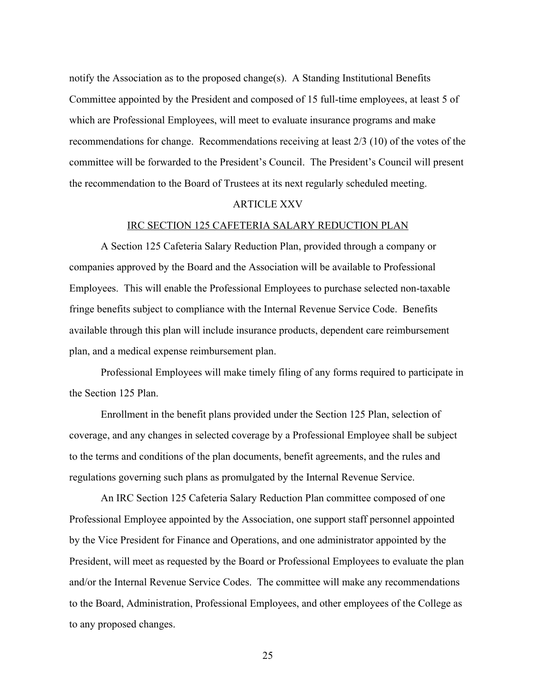notify the Association as to the proposed change(s). A Standing Institutional Benefits Committee appointed by the President and composed of 15 full-time employees, at least 5 of which are Professional Employees, will meet to evaluate insurance programs and make recommendations for change. Recommendations receiving at least 2/3 (10) of the votes of the committee will be forwarded to the President's Council. The President's Council will present the recommendation to the Board of Trustees at its next regularly scheduled meeting.

### ARTICLE XXV

#### IRC SECTION 125 CAFETERIA SALARY REDUCTION PLAN

A Section 125 Cafeteria Salary Reduction Plan, provided through a company or companies approved by the Board and the Association will be available to Professional Employees. This will enable the Professional Employees to purchase selected non-taxable fringe benefits subject to compliance with the Internal Revenue Service Code. Benefits available through this plan will include insurance products, dependent care reimbursement plan, and a medical expense reimbursement plan.

Professional Employees will make timely filing of any forms required to participate in the Section 125 Plan.

Enrollment in the benefit plans provided under the Section 125 Plan, selection of coverage, and any changes in selected coverage by a Professional Employee shall be subject to the terms and conditions of the plan documents, benefit agreements, and the rules and regulations governing such plans as promulgated by the Internal Revenue Service.

An IRC Section 125 Cafeteria Salary Reduction Plan committee composed of one Professional Employee appointed by the Association, one support staff personnel appointed by the Vice President for Finance and Operations, and one administrator appointed by the President, will meet as requested by the Board or Professional Employees to evaluate the plan and/or the Internal Revenue Service Codes. The committee will make any recommendations to the Board, Administration, Professional Employees, and other employees of the College as to any proposed changes.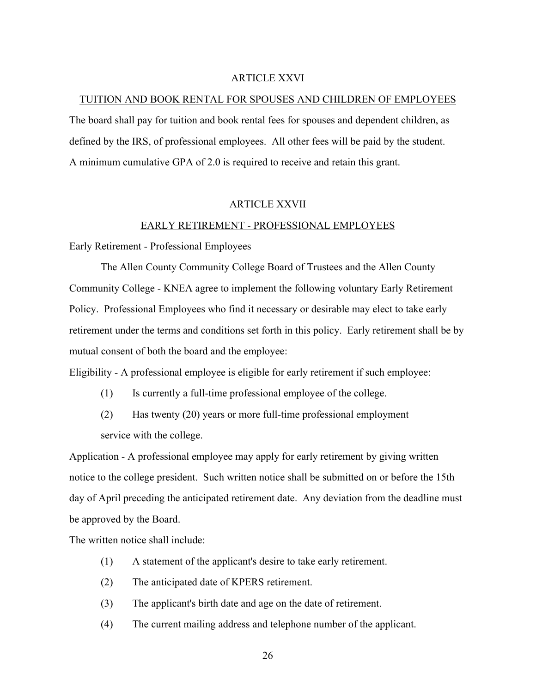### ARTICLE XXVI

#### TUITION AND BOOK RENTAL FOR SPOUSES AND CHILDREN OF EMPLOYEES

The board shall pay for tuition and book rental fees for spouses and dependent children, as defined by the IRS, of professional employees. All other fees will be paid by the student. A minimum cumulative GPA of 2.0 is required to receive and retain this grant.

#### ARTICLE XXVII

#### EARLY RETIREMENT - PROFESSIONAL EMPLOYEES

Early Retirement - Professional Employees

The Allen County Community College Board of Trustees and the Allen County Community College - KNEA agree to implement the following voluntary Early Retirement Policy. Professional Employees who find it necessary or desirable may elect to take early retirement under the terms and conditions set forth in this policy. Early retirement shall be by mutual consent of both the board and the employee:

Eligibility - A professional employee is eligible for early retirement if such employee:

- (1) Is currently a full-time professional employee of the college.
- (2) Has twenty (20) years or more full-time professional employment service with the college.

Application - A professional employee may apply for early retirement by giving written notice to the college president. Such written notice shall be submitted on or before the 15th day of April preceding the anticipated retirement date. Any deviation from the deadline must be approved by the Board.

The written notice shall include:

- (1) A statement of the applicant's desire to take early retirement.
- (2) The anticipated date of KPERS retirement.
- (3) The applicant's birth date and age on the date of retirement.
- (4) The current mailing address and telephone number of the applicant.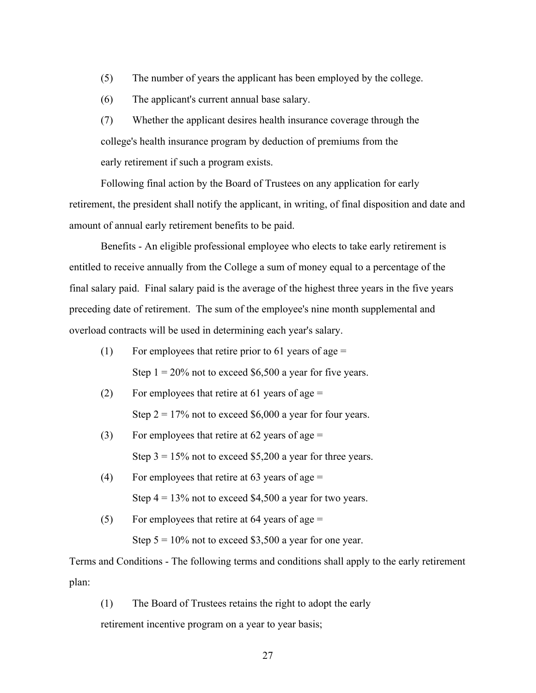- (5) The number of years the applicant has been employed by the college.
- (6) The applicant's current annual base salary.

(7) Whether the applicant desires health insurance coverage through the college's health insurance program by deduction of premiums from the early retirement if such a program exists.

Following final action by the Board of Trustees on any application for early retirement, the president shall notify the applicant, in writing, of final disposition and date and amount of annual early retirement benefits to be paid.

Benefits - An eligible professional employee who elects to take early retirement is entitled to receive annually from the College a sum of money equal to a percentage of the final salary paid. Final salary paid is the average of the highest three years in the five years preceding date of retirement. The sum of the employee's nine month supplemental and overload contracts will be used in determining each year's salary.

- (1) For employees that retire prior to 61 years of age  $=$ Step  $1 = 20\%$  not to exceed \$6,500 a year for five years.
- (2) For employees that retire at 61 years of age  $=$ Step  $2 = 17\%$  not to exceed \$6,000 a year for four years.
- (3) For employees that retire at  $62$  years of age = Step  $3 = 15\%$  not to exceed \$5,200 a year for three years.
- (4) For employees that retire at 63 years of age  $=$ Step  $4 = 13\%$  not to exceed \$4,500 a year for two years.
- (5) For employees that retire at 64 years of age  $=$ Step  $5 = 10\%$  not to exceed \$3,500 a year for one year.

Terms and Conditions - The following terms and conditions shall apply to the early retirement plan:

(1) The Board of Trustees retains the right to adopt the early

retirement incentive program on a year to year basis;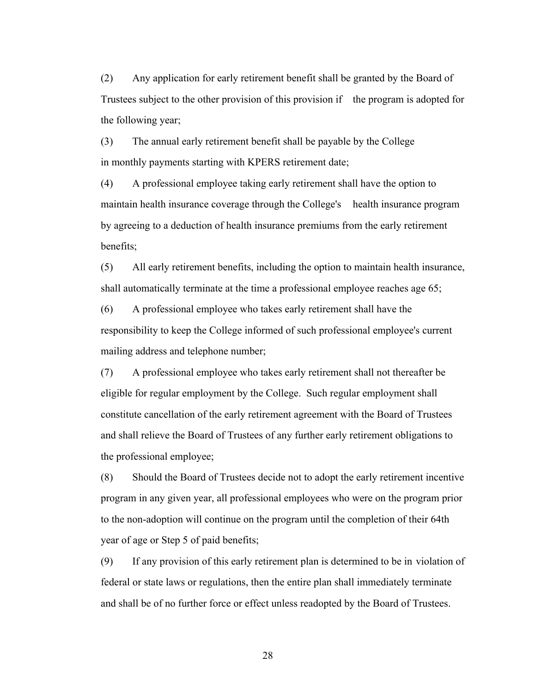(2) Any application for early retirement benefit shall be granted by the Board of Trustees subject to the other provision of this provision if the program is adopted for the following year;

(3) The annual early retirement benefit shall be payable by the College in monthly payments starting with KPERS retirement date;

(4) A professional employee taking early retirement shall have the option to maintain health insurance coverage through the College's health insurance program by agreeing to a deduction of health insurance premiums from the early retirement benefits;

(5) All early retirement benefits, including the option to maintain health insurance, shall automatically terminate at the time a professional employee reaches age 65;

(6) A professional employee who takes early retirement shall have the responsibility to keep the College informed of such professional employee's current mailing address and telephone number;

(7) A professional employee who takes early retirement shall not thereafter be eligible for regular employment by the College. Such regular employment shall constitute cancellation of the early retirement agreement with the Board of Trustees and shall relieve the Board of Trustees of any further early retirement obligations to the professional employee;

(8) Should the Board of Trustees decide not to adopt the early retirement incentive program in any given year, all professional employees who were on the program prior to the non-adoption will continue on the program until the completion of their 64th year of age or Step 5 of paid benefits;

(9) If any provision of this early retirement plan is determined to be in violation of federal or state laws or regulations, then the entire plan shall immediately terminate and shall be of no further force or effect unless readopted by the Board of Trustees.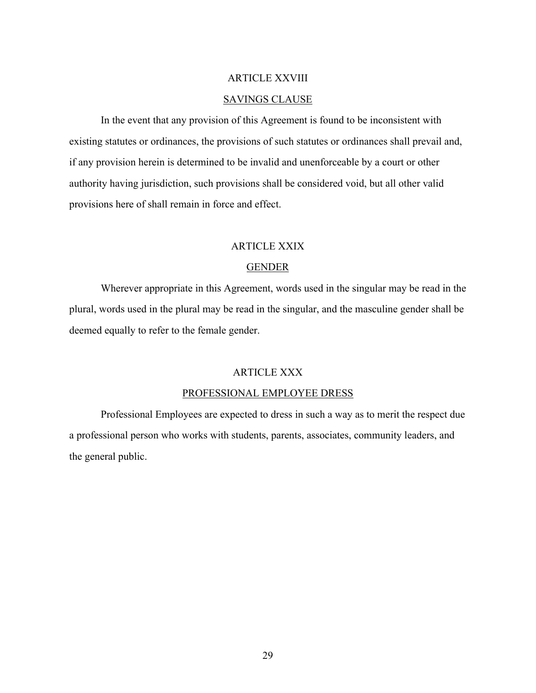### ARTICLE XXVIII

### SAVINGS CLAUSE

In the event that any provision of this Agreement is found to be inconsistent with existing statutes or ordinances, the provisions of such statutes or ordinances shall prevail and, if any provision herein is determined to be invalid and unenforceable by a court or other authority having jurisdiction, such provisions shall be considered void, but all other valid provisions here of shall remain in force and effect.

### ARTICLE XXIX

### GENDER

Wherever appropriate in this Agreement, words used in the singular may be read in the plural, words used in the plural may be read in the singular, and the masculine gender shall be deemed equally to refer to the female gender.

### ARTICLE XXX

### PROFESSIONAL EMPLOYEE DRESS

Professional Employees are expected to dress in such a way as to merit the respect due a professional person who works with students, parents, associates, community leaders, and the general public.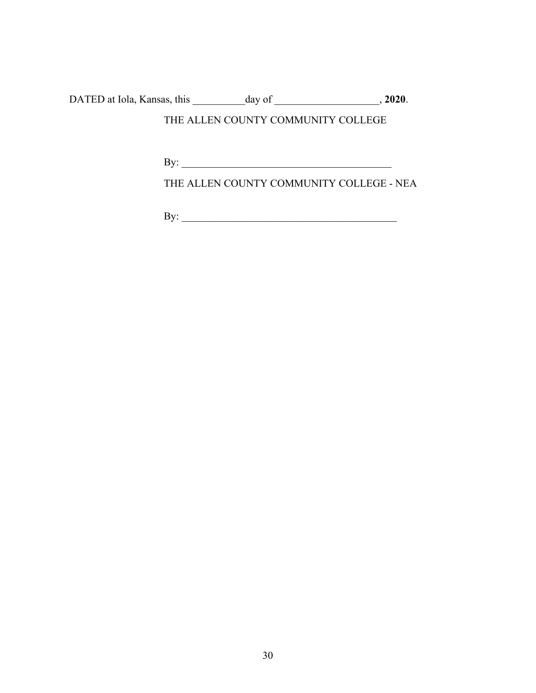DATED at Iola, Kansas, this \_\_\_\_\_\_\_\_\_\_day of \_\_\_\_\_\_\_\_\_\_\_\_\_\_\_\_\_\_\_\_, **2020**.

# THE ALLEN COUNTY COMMUNITY COLLEGE

 $\mathbf{By:}$ 

THE ALLEN COUNTY COMMUNITY COLLEGE - NEA

By: \_\_\_\_\_\_\_\_\_\_\_\_\_\_\_\_\_\_\_\_\_\_\_\_\_\_\_\_\_\_\_\_\_\_\_\_\_\_\_\_\_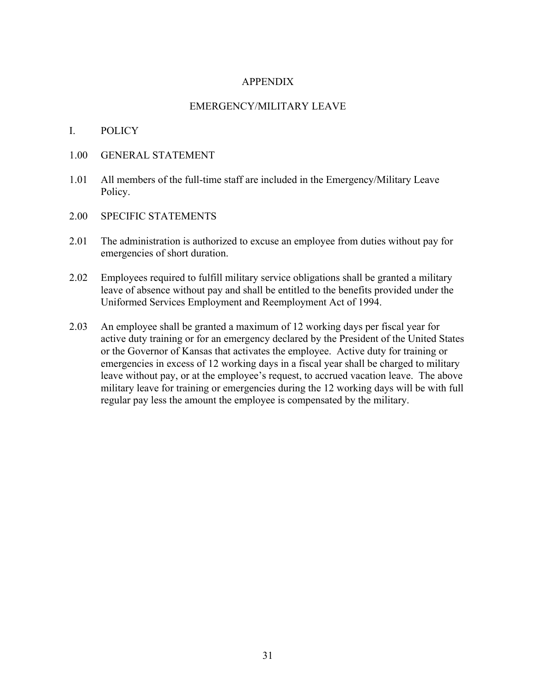### APPENDIX

### EMERGENCY/MILITARY LEAVE

### I. POLICY

- 1.00 GENERAL STATEMENT
- 1.01 All members of the full-time staff are included in the Emergency/Military Leave Policy.
- 2.00 SPECIFIC STATEMENTS
- 2.01 The administration is authorized to excuse an employee from duties without pay for emergencies of short duration.
- 2.02 Employees required to fulfill military service obligations shall be granted a military leave of absence without pay and shall be entitled to the benefits provided under the Uniformed Services Employment and Reemployment Act of 1994.
- 2.03 An employee shall be granted a maximum of 12 working days per fiscal year for active duty training or for an emergency declared by the President of the United States or the Governor of Kansas that activates the employee. Active duty for training or emergencies in excess of 12 working days in a fiscal year shall be charged to military leave without pay, or at the employee's request, to accrued vacation leave. The above military leave for training or emergencies during the 12 working days will be with full regular pay less the amount the employee is compensated by the military.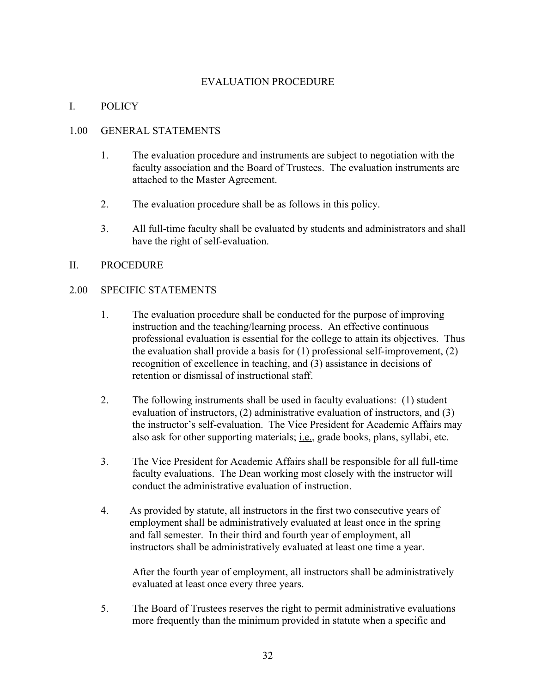# EVALUATION PROCEDURE

# I. POLICY

### 1.00 GENERAL STATEMENTS

- 1. The evaluation procedure and instruments are subject to negotiation with the faculty association and the Board of Trustees. The evaluation instruments are attached to the Master Agreement.
- 2. The evaluation procedure shall be as follows in this policy.
- 3. All full-time faculty shall be evaluated by students and administrators and shall have the right of self-evaluation.

### II. PROCEDURE

### 2.00 SPECIFIC STATEMENTS

- 1. The evaluation procedure shall be conducted for the purpose of improving instruction and the teaching/learning process. An effective continuous professional evaluation is essential for the college to attain its objectives. Thus the evaluation shall provide a basis for (1) professional self-improvement, (2) recognition of excellence in teaching, and (3) assistance in decisions of retention or dismissal of instructional staff.
- 2. The following instruments shall be used in faculty evaluations: (1) student evaluation of instructors, (2) administrative evaluation of instructors, and (3) the instructor's self-evaluation. The Vice President for Academic Affairs may also ask for other supporting materials; i.e., grade books, plans, syllabi, etc.
- 3. The Vice President for Academic Affairs shall be responsible for all full-time faculty evaluations. The Dean working most closely with the instructor will conduct the administrative evaluation of instruction.
- 4. As provided by statute, all instructors in the first two consecutive years of employment shall be administratively evaluated at least once in the spring and fall semester. In their third and fourth year of employment, all instructors shall be administratively evaluated at least one time a year.

After the fourth year of employment, all instructors shall be administratively evaluated at least once every three years.

5. The Board of Trustees reserves the right to permit administrative evaluations more frequently than the minimum provided in statute when a specific and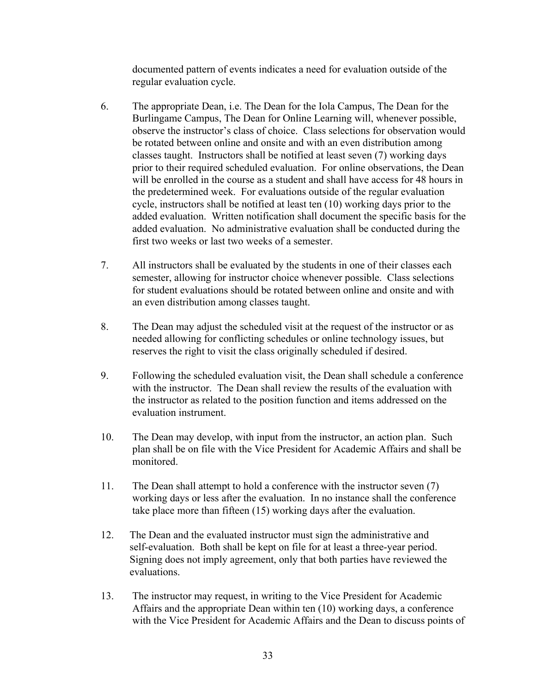documented pattern of events indicates a need for evaluation outside of the regular evaluation cycle.

- 6. The appropriate Dean, i.e. The Dean for the Iola Campus, The Dean for the Burlingame Campus, The Dean for Online Learning will, whenever possible, observe the instructor's class of choice. Class selections for observation would be rotated between online and onsite and with an even distribution among classes taught. Instructors shall be notified at least seven (7) working days prior to their required scheduled evaluation. For online observations, the Dean will be enrolled in the course as a student and shall have access for 48 hours in the predetermined week. For evaluations outside of the regular evaluation cycle, instructors shall be notified at least ten (10) working days prior to the added evaluation. Written notification shall document the specific basis for the added evaluation. No administrative evaluation shall be conducted during the first two weeks or last two weeks of a semester.
- 7. All instructors shall be evaluated by the students in one of their classes each semester, allowing for instructor choice whenever possible. Class selections for student evaluations should be rotated between online and onsite and with an even distribution among classes taught.
- 8. The Dean may adjust the scheduled visit at the request of the instructor or as needed allowing for conflicting schedules or online technology issues, but reserves the right to visit the class originally scheduled if desired.
- 9. Following the scheduled evaluation visit, the Dean shall schedule a conference with the instructor. The Dean shall review the results of the evaluation with the instructor as related to the position function and items addressed on the evaluation instrument.
- 10. The Dean may develop, with input from the instructor, an action plan. Such plan shall be on file with the Vice President for Academic Affairs and shall be monitored.
- 11. The Dean shall attempt to hold a conference with the instructor seven (7) working days or less after the evaluation. In no instance shall the conference take place more than fifteen (15) working days after the evaluation.
- 12. The Dean and the evaluated instructor must sign the administrative and self-evaluation. Both shall be kept on file for at least a three-year period. Signing does not imply agreement, only that both parties have reviewed the evaluations.
- 13. The instructor may request, in writing to the Vice President for Academic Affairs and the appropriate Dean within ten (10) working days, a conference with the Vice President for Academic Affairs and the Dean to discuss points of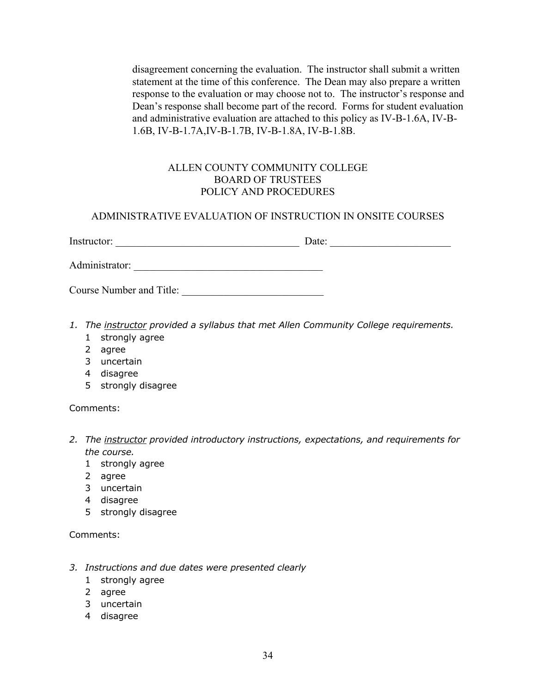disagreement concerning the evaluation. The instructor shall submit a written statement at the time of this conference. The Dean may also prepare a written response to the evaluation or may choose not to. The instructor's response and Dean's response shall become part of the record. Forms for student evaluation and administrative evaluation are attached to this policy as IV-B-1.6A, IV-B-1.6B, IV-B-1.7A,IV-B-1.7B, IV-B-1.8A, IV-B-1.8B.

# ALLEN COUNTY COMMUNITY COLLEGE BOARD OF TRUSTEES POLICY AND PROCEDURES

### ADMINISTRATIVE EVALUATION OF INSTRUCTION IN ONSITE COURSES

| $\checkmark$<br>Ins<br>.<br>''UOL.<br>**** | ate:<br>aw. |
|--------------------------------------------|-------------|
|                                            |             |

Administrator: *\_\_\_\_\_\_\_\_\_\_\_\_\_\_\_\_\_\_\_\_\_\_\_\_\_\_\_\_\_\_\_\_\_\_\_\_* 

- *1. The instructor provided a syllabus that met Allen Community College requirements.*
	- 1 strongly agree
	- 2 agree
	- 3 uncertain
	- 4 disagree
	- 5 strongly disagree

Comments:

- *2. The instructor provided introductory instructions, expectations, and requirements for the course.*
	- 1 strongly agree
	- 2 agree
	- 3 uncertain
	- 4 disagree
	- 5 strongly disagree

- *3. Instructions and due dates were presented clearly*
	- 1 strongly agree
	- 2 agree
	- 3 uncertain
	- 4 disagree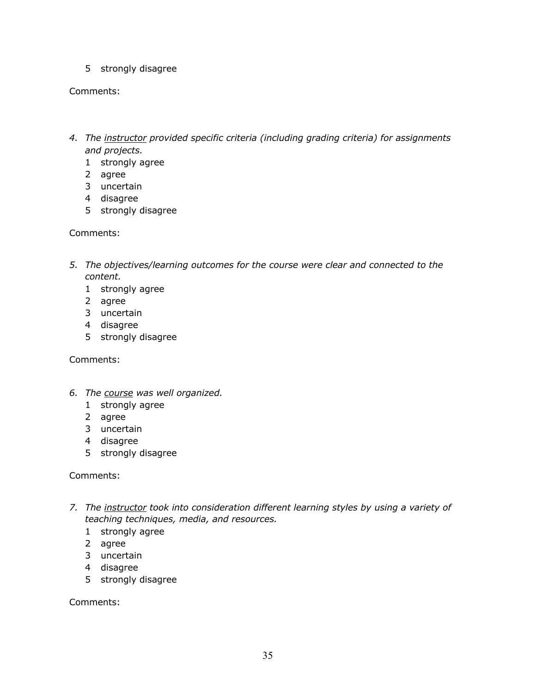5 strongly disagree

### Comments:

- *4. The instructor provided specific criteria (including grading criteria) for assignments and projects.*
	- 1 strongly agree
	- 2 agree
	- 3 uncertain
	- 4 disagree
	- 5 strongly disagree

### Comments:

- *5. The objectives/learning outcomes for the course were clear and connected to the content.*
	- 1 strongly agree
	- 2 agree
	- 3 uncertain
	- 4 disagree
	- 5 strongly disagree

Comments:

- *6. The course was well organized.*
	- 1 strongly agree
	- 2 agree
	- 3 uncertain
	- 4 disagree
	- 5 strongly disagree

### Comments:

- *7. The instructor took into consideration different learning styles by using a variety of teaching techniques, media, and resources.*
	- 1 strongly agree
	- 2 agree
	- 3 uncertain
	- 4 disagree
	- 5 strongly disagree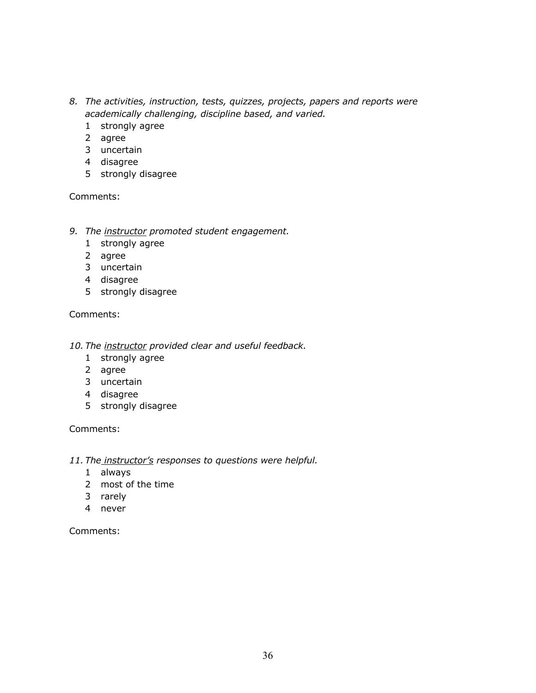- *8. The activities, instruction, tests, quizzes, projects, papers and reports were academically challenging, discipline based, and varied.*
	- 1 strongly agree
	- 2 agree
	- 3 uncertain
	- 4 disagree
	- 5 strongly disagree

- *9. The instructor promoted student engagement.*
	- 1 strongly agree
	- 2 agree
	- 3 uncertain
	- 4 disagree
	- 5 strongly disagree

Comments:

- *10. The instructor provided clear and useful feedback.*
	- 1 strongly agree
	- 2 agree
	- 3 uncertain
	- 4 disagree
	- 5 strongly disagree

Comments:

- *11. The instructor's responses to questions were helpful.*
	- 1 always
	- 2 most of the time
	- 3 rarely
	- 4 never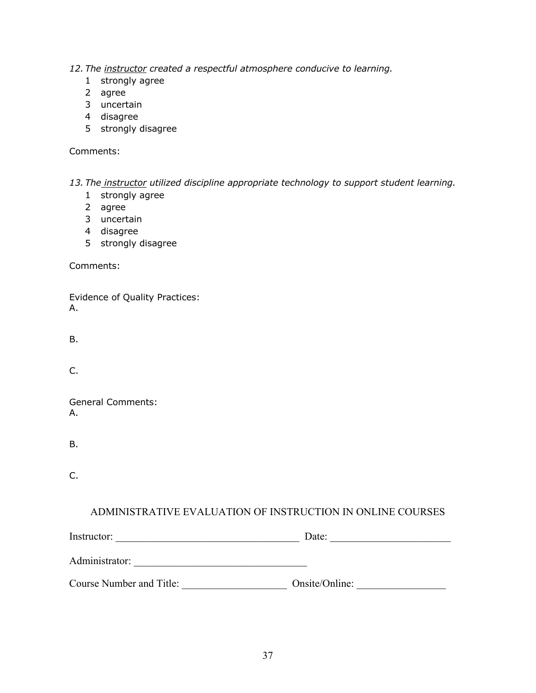*12. The instructor created a respectful atmosphere conducive to learning.*

- 1 strongly agree
- 2 agree
- 3 uncertain
- 4 disagree
- 5 strongly disagree

Comments:

*13. The instructor utilized discipline appropriate technology to support student learning.*

- 1 strongly agree
- 2 agree
- 3 uncertain
- 4 disagree
- 5 strongly disagree

Comments:

Evidence of Quality Practices: A.

B.

C.

General Comments: A.

B.

C.

# ADMINISTRATIVE EVALUATION OF INSTRUCTION IN ONLINE COURSES

| Instructor:              | Date:          |  |
|--------------------------|----------------|--|
| Administrator:           |                |  |
| Course Number and Title: | Onsite/Online: |  |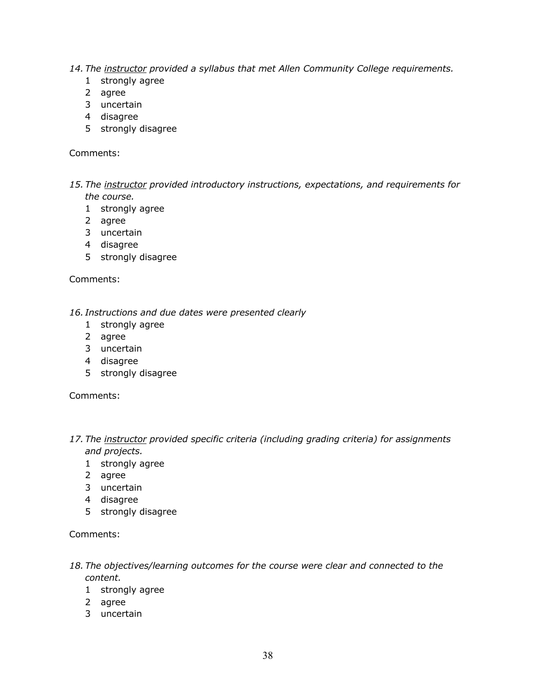- *14. The instructor provided a syllabus that met Allen Community College requirements.*
	- 1 strongly agree
	- 2 agree
	- 3 uncertain
	- 4 disagree
	- 5 strongly disagree

- *15. The instructor provided introductory instructions, expectations, and requirements for the course.*
	- 1 strongly agree
	- 2 agree
	- 3 uncertain
	- 4 disagree
	- 5 strongly disagree

Comments:

*16. Instructions and due dates were presented clearly*

- 1 strongly agree
- 2 agree
- 3 uncertain
- 4 disagree
- 5 strongly disagree

Comments:

- *17. The instructor provided specific criteria (including grading criteria) for assignments and projects.*
	- 1 strongly agree
	- 2 agree
	- 3 uncertain
	- 4 disagree
	- 5 strongly disagree

- *18. The objectives/learning outcomes for the course were clear and connected to the content.*
	- 1 strongly agree
	- 2 agree
	- 3 uncertain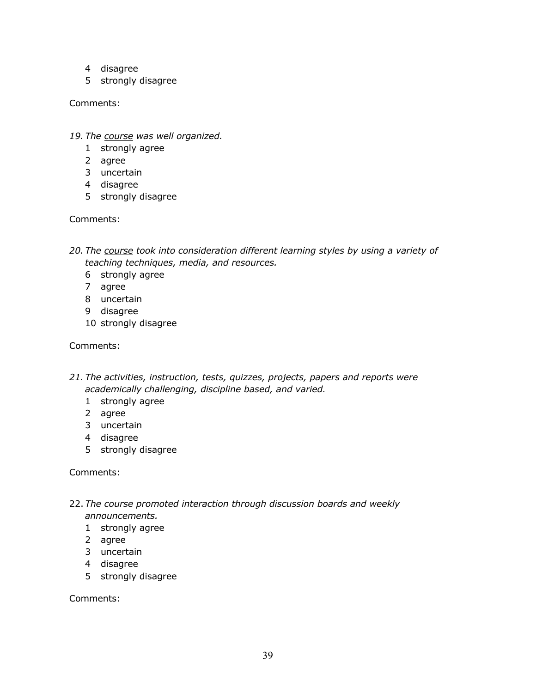- 4 disagree
- 5 strongly disagree

- *19. The course was well organized.*
	- 1 strongly agree
	- 2 agree
	- 3 uncertain
	- 4 disagree
	- 5 strongly disagree

Comments:

- *20. The course took into consideration different learning styles by using a variety of teaching techniques, media, and resources.*
	- 6 strongly agree
	- 7 agree
	- 8 uncertain
	- 9 disagree
	- 10 strongly disagree

### Comments:

- *21. The activities, instruction, tests, quizzes, projects, papers and reports were academically challenging, discipline based, and varied.*
	- 1 strongly agree
	- 2 agree
	- 3 uncertain
	- 4 disagree
	- 5 strongly disagree

Comments:

- 22. *The course promoted interaction through discussion boards and weekly announcements.*
	- 1 strongly agree
	- 2 agree
	- 3 uncertain
	- 4 disagree
	- 5 strongly disagree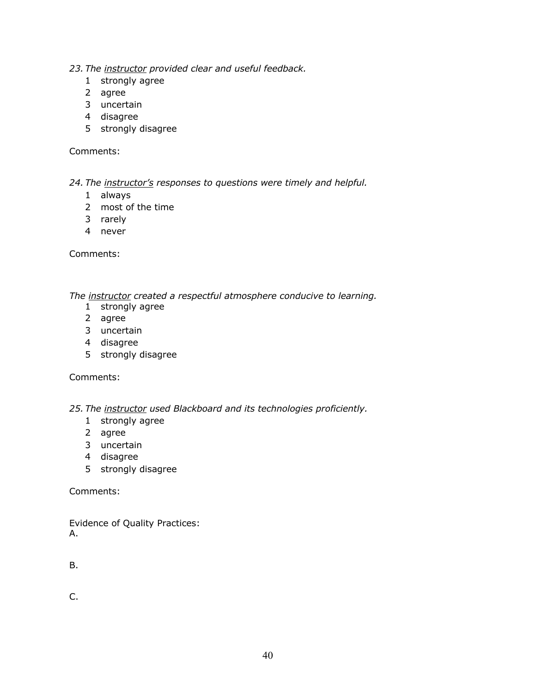- *23. The instructor provided clear and useful feedback.*
	- 1 strongly agree
	- 2 agree
	- 3 uncertain
	- 4 disagree
	- 5 strongly disagree

*24. The instructor's responses to questions were timely and helpful.*

- 1 always
- 2 most of the time
- 3 rarely
- 4 never

Comments:

*The instructor created a respectful atmosphere conducive to learning.*

- 1 strongly agree
- 2 agree
- 3 uncertain
- 4 disagree
- 5 strongly disagree

Comments:

*25. The instructor used Blackboard and its technologies proficiently.*

- 1 strongly agree
- 2 agree
- 3 uncertain
- 4 disagree
- 5 strongly disagree

Comments:

Evidence of Quality Practices: A.

B.

C.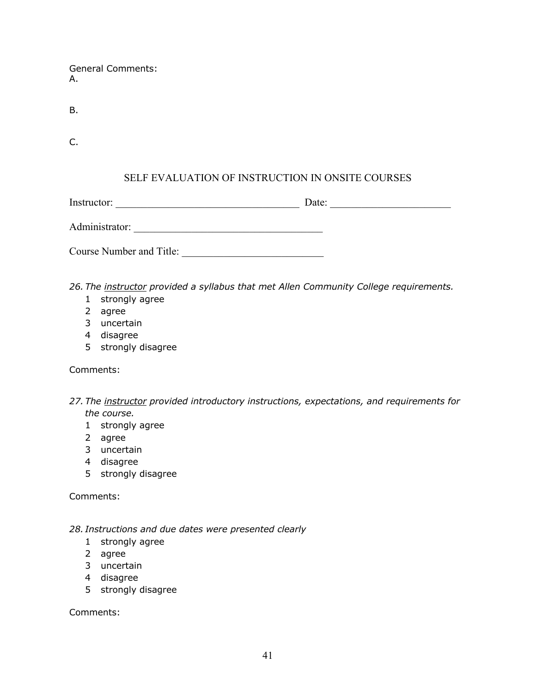General Comments: A.

B.

C.

# SELF EVALUATION OF INSTRUCTION IN ONSITE COURSES

Instructor: \_\_\_\_\_\_\_\_\_\_\_\_\_\_\_\_\_\_\_\_\_\_\_\_\_\_\_\_\_\_\_\_\_\_\_ Date: \_\_\_\_\_\_\_\_\_\_\_\_\_\_\_\_\_\_\_\_\_\_\_

Administrator: *\_\_\_\_\_\_\_\_\_\_\_\_\_\_\_\_\_\_\_\_\_\_\_\_\_\_\_\_\_\_\_\_\_\_\_\_* 

Course Number and Title: \_\_\_\_\_\_\_\_\_\_\_\_\_\_\_\_\_\_\_\_\_\_\_\_\_\_\_

*26. The instructor provided a syllabus that met Allen Community College requirements.*

- 1 strongly agree
- 2 agree
- 3 uncertain
- 4 disagree
- 5 strongly disagree

Comments:

- *27. The instructor provided introductory instructions, expectations, and requirements for the course.*
	- 1 strongly agree
	- 2 agree
	- 3 uncertain
	- 4 disagree
	- 5 strongly disagree

Comments:

### *28. Instructions and due dates were presented clearly*

- 1 strongly agree
- 2 agree
- 3 uncertain
- 4 disagree
- 5 strongly disagree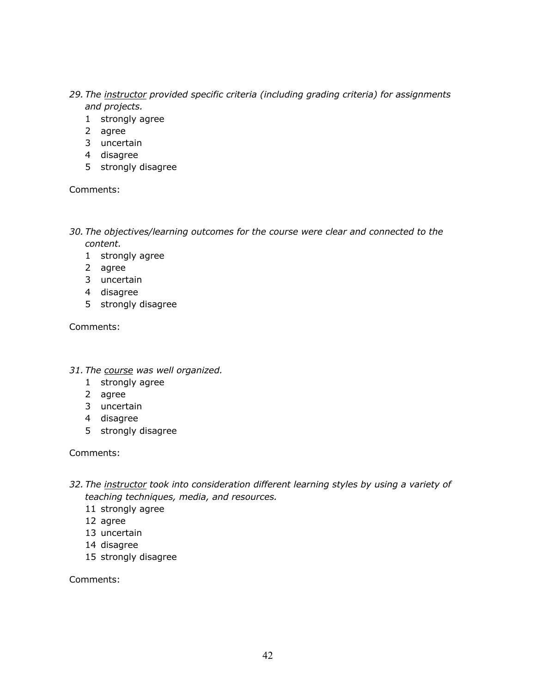- *29. The instructor provided specific criteria (including grading criteria) for assignments and projects.*
	- 1 strongly agree
	- 2 agree
	- 3 uncertain
	- 4 disagree
	- 5 strongly disagree

- *30. The objectives/learning outcomes for the course were clear and connected to the content.*
	- 1 strongly agree
	- 2 agree
	- 3 uncertain
	- 4 disagree
	- 5 strongly disagree

Comments:

- *31. The course was well organized.*
	- 1 strongly agree
	- 2 agree
	- 3 uncertain
	- 4 disagree
	- 5 strongly disagree

Comments:

- *32. The instructor took into consideration different learning styles by using a variety of teaching techniques, media, and resources.*
	- 11 strongly agree
	- 12 agree
	- 13 uncertain
	- 14 disagree
	- 15 strongly disagree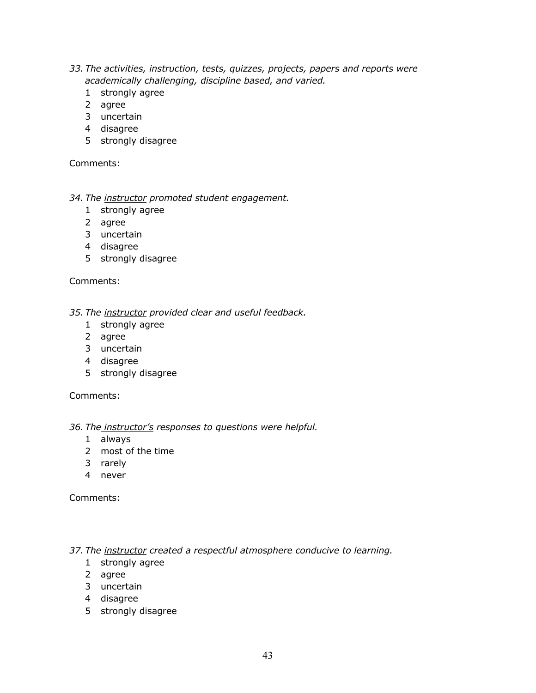- *33. The activities, instruction, tests, quizzes, projects, papers and reports were academically challenging, discipline based, and varied.*
	- 1 strongly agree
	- 2 agree
	- 3 uncertain
	- 4 disagree
	- 5 strongly disagree

### *34. The instructor promoted student engagement.*

- 1 strongly agree
- 2 agree
- 3 uncertain
- 4 disagree
- 5 strongly disagree

Comments:

*35. The instructor provided clear and useful feedback.*

- 1 strongly agree
- 2 agree
- 3 uncertain
- 4 disagree
- 5 strongly disagree

Comments:

### *36. The instructor's responses to questions were helpful.*

- 1 always
- 2 most of the time
- 3 rarely
- 4 never

Comments:

*37. The instructor created a respectful atmosphere conducive to learning.*

- 1 strongly agree
- 2 agree
- 3 uncertain
- 4 disagree
- 5 strongly disagree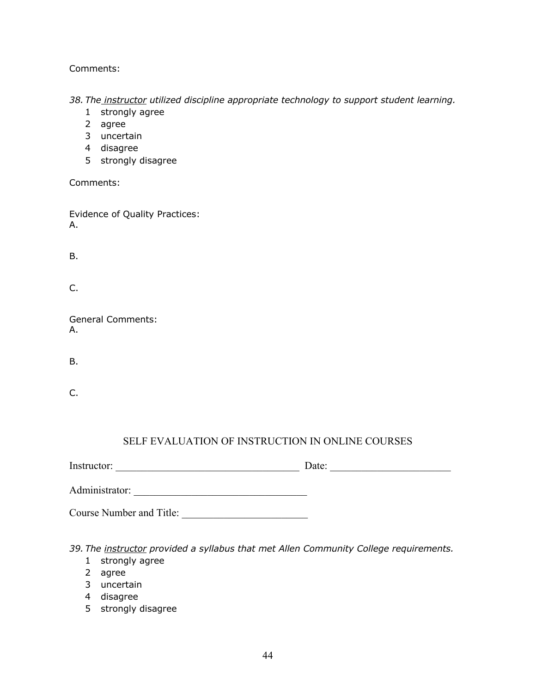*38. The instructor utilized discipline appropriate technology to support student learning.*

- 1 strongly agree
- 2 agree
- 3 uncertain
- 4 disagree
- 5 strongly disagree

Comments:

Evidence of Quality Practices: A.

B.

C.

General Comments: A.

B.

C.

# SELF EVALUATION OF INSTRUCTION IN ONLINE COURSES

| Instructor:              | Date: |
|--------------------------|-------|
| Administrator:           |       |
| Course Number and Title: |       |

*39. The instructor provided a syllabus that met Allen Community College requirements.*

- 1 strongly agree
- 2 agree
- 3 uncertain
- 4 disagree
- 5 strongly disagree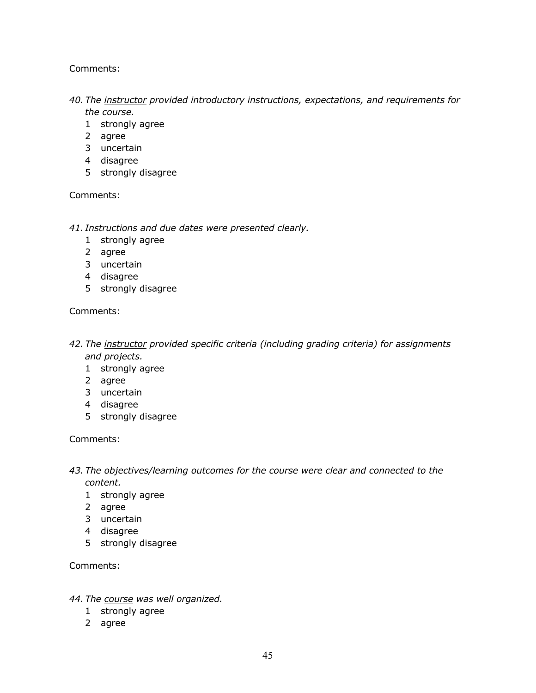- *40. The instructor provided introductory instructions, expectations, and requirements for the course.*
	- 1 strongly agree
	- 2 agree
	- 3 uncertain
	- 4 disagree
	- 5 strongly disagree

Comments:

- *41. Instructions and due dates were presented clearly.*
	- 1 strongly agree
	- 2 agree
	- 3 uncertain
	- 4 disagree
	- 5 strongly disagree

### Comments:

- *42. The instructor provided specific criteria (including grading criteria) for assignments and projects.*
	- 1 strongly agree
	- 2 agree
	- 3 uncertain
	- 4 disagree
	- 5 strongly disagree

### Comments:

- *43. The objectives/learning outcomes for the course were clear and connected to the content.*
	- 1 strongly agree
	- 2 agree
	- 3 uncertain
	- 4 disagree
	- 5 strongly disagree

Comments:

### *44. The course was well organized.*

- 1 strongly agree
- 2 agree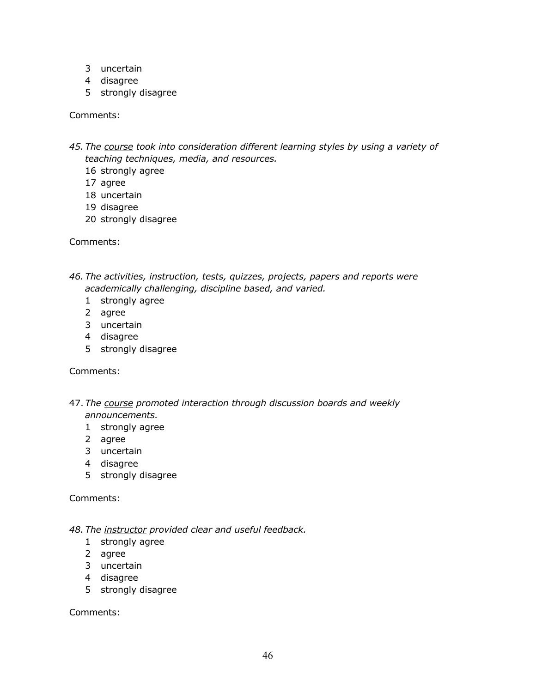- 3 uncertain
- 4 disagree
- 5 strongly disagree

- *45. The course took into consideration different learning styles by using a variety of teaching techniques, media, and resources.*
	- 16 strongly agree
	- 17 agree
	- 18 uncertain
	- 19 disagree
	- 20 strongly disagree

Comments:

*46. The activities, instruction, tests, quizzes, projects, papers and reports were academically challenging, discipline based, and varied.*

- 1 strongly agree
- 2 agree
- 3 uncertain
- 4 disagree
- 5 strongly disagree

Comments:

- 47. *The course promoted interaction through discussion boards and weekly announcements.*
	- 1 strongly agree
	- 2 agree
	- 3 uncertain
	- 4 disagree
	- 5 strongly disagree

Comments:

- *48. The instructor provided clear and useful feedback.*
	- 1 strongly agree
	- 2 agree
	- 3 uncertain
	- 4 disagree
	- 5 strongly disagree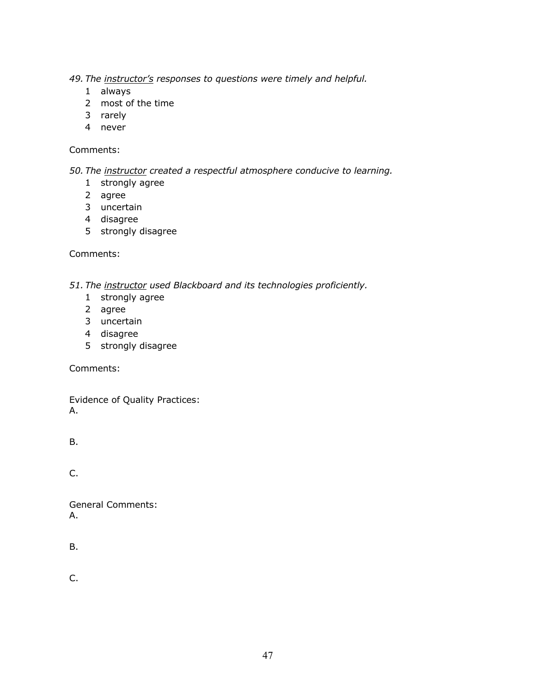*49. The instructor's responses to questions were timely and helpful.*

- 1 always
- 2 most of the time
- 3 rarely
- 4 never

### Comments:

*50. The instructor created a respectful atmosphere conducive to learning.*

- 1 strongly agree
- 2 agree
- 3 uncertain
- 4 disagree
- 5 strongly disagree

Comments:

*51. The instructor used Blackboard and its technologies proficiently.*

- 1 strongly agree
- 2 agree
- 3 uncertain
- 4 disagree
- 5 strongly disagree

Comments:

Evidence of Quality Practices: A.

B.

C.

General Comments: A.

B.

C.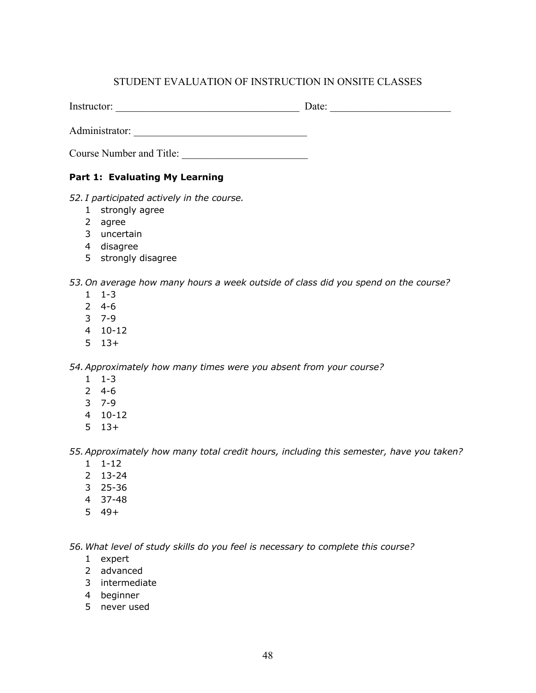# STUDENT EVALUATION OF INSTRUCTION IN ONSITE CLASSES

Instructor: \_\_\_\_\_\_\_\_\_\_\_\_\_\_\_\_\_\_\_\_\_\_\_\_\_\_\_\_\_\_\_\_\_\_\_ Date: \_\_\_\_\_\_\_\_\_\_\_\_\_\_\_\_\_\_\_\_\_\_\_

Administrator: *\_\_\_\_\_\_\_\_\_\_\_\_\_\_\_\_\_\_\_\_\_\_\_\_\_\_\_\_\_\_\_\_\_*

Course Number and Title:

### **Part 1: Evaluating My Learning**

*52. I participated actively in the course.*

- strongly agree
- agree
- uncertain
- disagree
- 5 strongly disagree

*53. On average how many hours a week outside of class did you spend on the course?*

- 1-3
- 4-6
- 7-9
- 10-12
- 13+

*54.Approximately how many times were you absent from your course?*

- 1-3
- 4-6
- 7-9
- 10-12
- 13+

*55.Approximately how many total credit hours, including this semester, have you taken?*

- 1-12
- 13-24
- 25-36
- 37-48
- 49+

*56.What level of study skills do you feel is necessary to complete this course?* 

- expert
- advanced
- intermediate
- beginner
- never used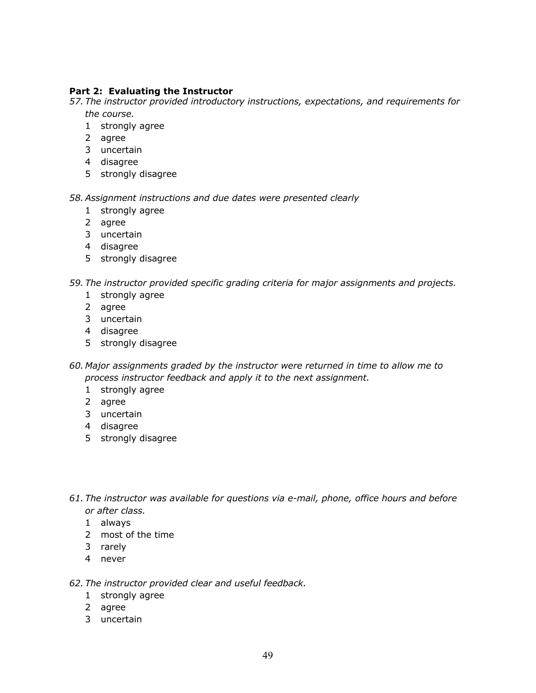### **Part 2: Evaluating the Instructor**

*57. The instructor provided introductory instructions, expectations, and requirements for the course.*

- strongly agree
- agree
- uncertain
- disagree
- 5 strongly disagree

*58.Assignment instructions and due dates were presented clearly*

- strongly agree
- agree
- uncertain
- disagree
- 5 strongly disagree

### *59. The instructor provided specific grading criteria for major assignments and projects.*

- strongly agree
- agree
- uncertain
- disagree
- 5 strongly disagree
- *60. Major assignments graded by the instructor were returned in time to allow me to process instructor feedback and apply it to the next assignment.*
	- strongly agree
	- agree
	- uncertain
	- disagree
	- 5 strongly disagree
- *61. The instructor was available for questions via e-mail, phone, office hours and before or after class.*
	- always
	- most of the time
	- rarely
	- never

### *62. The instructor provided clear and useful feedback.*

- strongly agree
- agree
- uncertain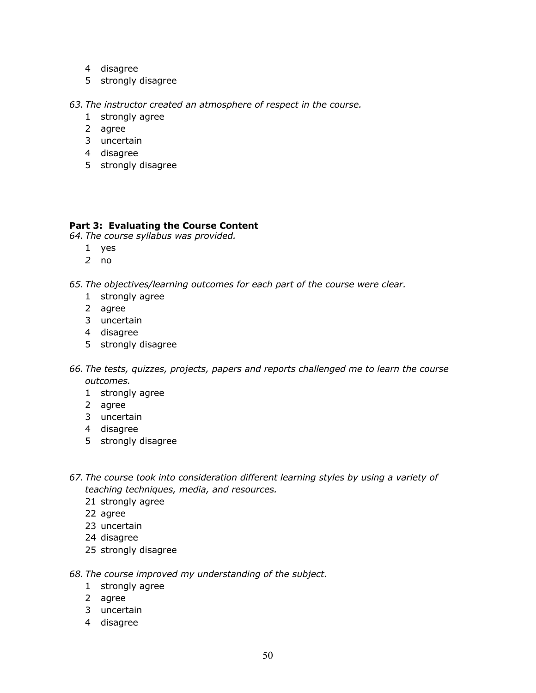- disagree
- strongly disagree

*63. The instructor created an atmosphere of respect in the course.* 

- strongly agree
- agree
- uncertain
- disagree
- 5 strongly disagree

### **Part 3: Evaluating the Course Content**

*64. The course syllabus was provided.*

- yes
- no

*65. The objectives/learning outcomes for each part of the course were clear.*

- strongly agree
- agree
- uncertain
- disagree
- 5 strongly disagree
- *66. The tests, quizzes, projects, papers and reports challenged me to learn the course outcomes.*
	- strongly agree
	- agree
	- uncertain
	- disagree
	- 5 strongly disagree
- *67. The course took into consideration different learning styles by using a variety of teaching techniques, media, and resources.*
	- strongly agree
	- agree
	- uncertain
	- disagree
	- strongly disagree
- *68. The course improved my understanding of the subject.*
	- strongly agree
	- agree
	- uncertain
	- disagree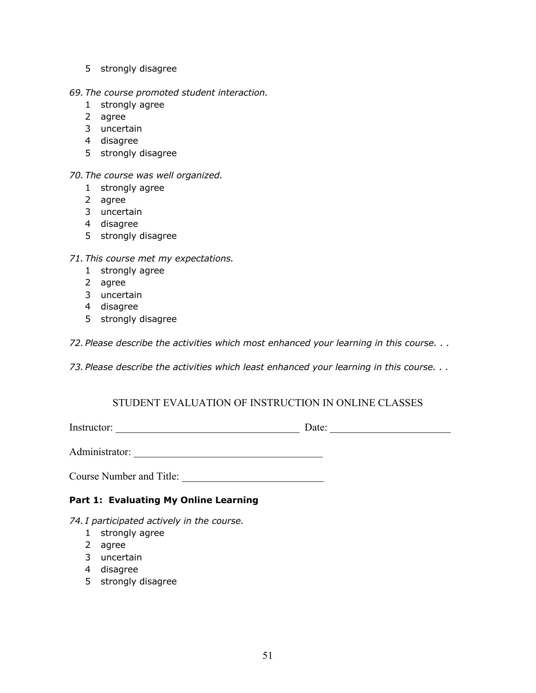- 5 strongly disagree
- *69. The course promoted student interaction.*
	- 1 strongly agree
	- 2 agree
	- 3 uncertain
	- 4 disagree
	- 5 strongly disagree

### *70. The course was well organized.*

- 1 strongly agree
- 2 agree
- 3 uncertain
- 4 disagree
- 5 strongly disagree

### *71. This course met my expectations.*

- 1 strongly agree
- 2 agree
- 3 uncertain
- 4 disagree
- 5 strongly disagree

*72. Please describe the activities which most enhanced your learning in this course. . .*

*73. Please describe the activities which least enhanced your learning in this course. . .*

### STUDENT EVALUATION OF INSTRUCTION IN ONLINE CLASSES

Instructor: \_\_\_\_\_\_\_\_\_\_\_\_\_\_\_\_\_\_\_\_\_\_\_\_\_\_\_\_\_\_\_\_\_\_\_ Date: \_\_\_\_\_\_\_\_\_\_\_\_\_\_\_\_\_\_\_\_\_\_\_

Administrator:

Course Number and Title:

# **Part 1: Evaluating My Online Learning**

*74. I participated actively in the course.*

- 1 strongly agree
- 2 agree
- 3 uncertain
- 4 disagree
- 5 strongly disagree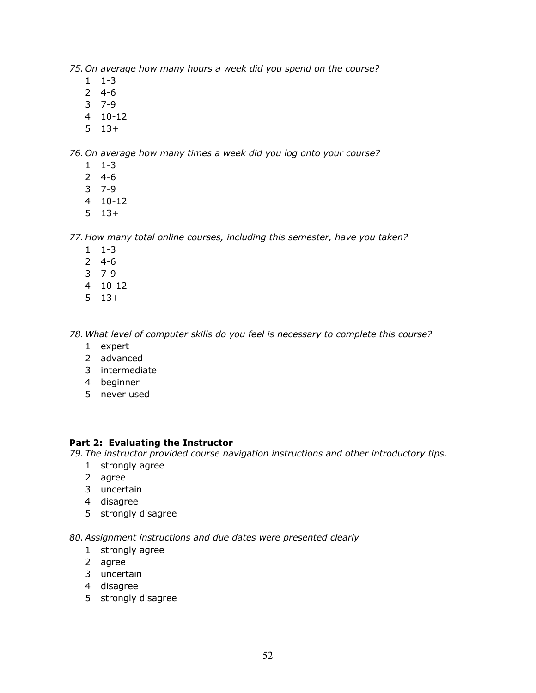*75. On average how many hours a week did you spend on the course?*

- 1-3
- 4-6
- 7-9
- 10-12
- 13+

*76. On average how many times a week did you log onto your course?*

- 1-3
- 4-6
- 7-9
- 10-12
- 13+

*77. How many total online courses, including this semester, have you taken?*

- 1-3
- 4-6
- 7-9
- 10-12
- 13+

*78.What level of computer skills do you feel is necessary to complete this course?* 

- expert
- advanced
- intermediate
- beginner
- never used

### **Part 2: Evaluating the Instructor**

*79. The instructor provided course navigation instructions and other introductory tips.*

- strongly agree
- agree
- uncertain
- disagree
- 5 strongly disagree

*80.Assignment instructions and due dates were presented clearly*

- strongly agree
- agree
- uncertain
- disagree
- 5 strongly disagree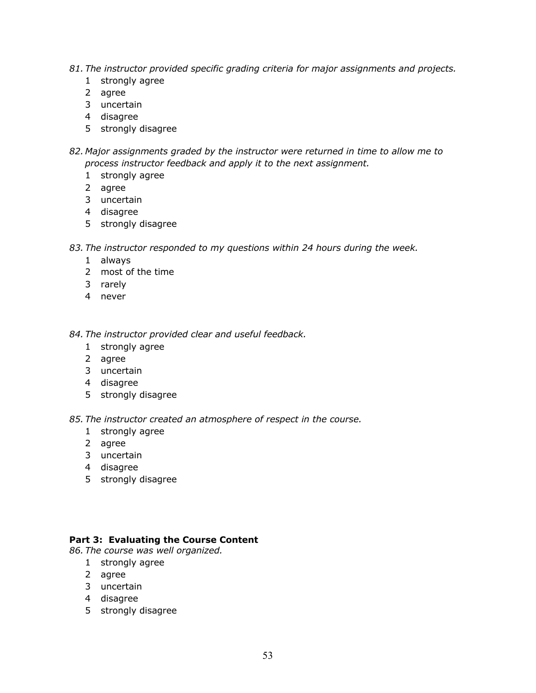- *81. The instructor provided specific grading criteria for major assignments and projects.*
	- strongly agree
	- agree
	- uncertain
	- disagree
	- 5 strongly disagree
- *82. Major assignments graded by the instructor were returned in time to allow me to process instructor feedback and apply it to the next assignment.*
	- strongly agree
	- agree
	- uncertain
	- disagree
	- 5 strongly disagree
- *83. The instructor responded to my questions within 24 hours during the week.*
	- always
	- most of the time
	- rarely
	- never

*84. The instructor provided clear and useful feedback.*

- strongly agree
- agree
- uncertain
- disagree
- 5 strongly disagree

*85. The instructor created an atmosphere of respect in the course.* 

- strongly agree
- agree
- uncertain
- disagree
- 5 strongly disagree

### **Part 3: Evaluating the Course Content**

*86. The course was well organized.*

- strongly agree
- agree
- uncertain
- disagree
- 5 strongly disagree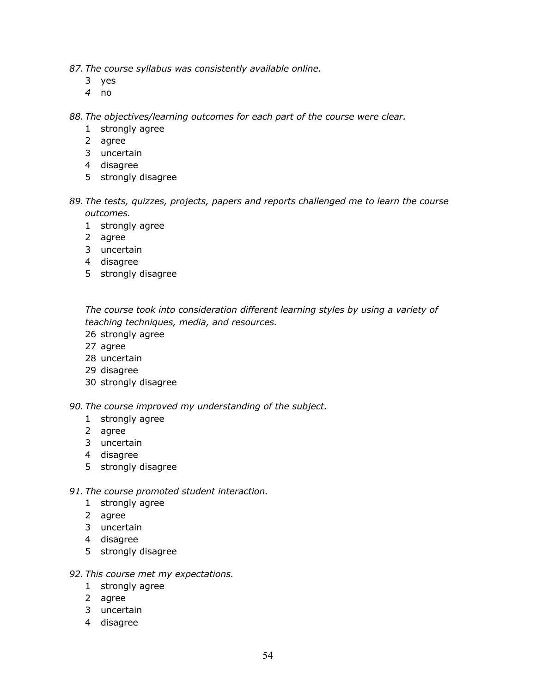- *87. The course syllabus was consistently available online.* 
	- yes
	- no

*88. The objectives/learning outcomes for each part of the course were clear.*

- strongly agree
- agree
- uncertain
- disagree
- 5 strongly disagree
- *89. The tests, quizzes, projects, papers and reports challenged me to learn the course outcomes.*
	- strongly agree
	- agree
	- uncertain
	- disagree
	- 5 strongly disagree

*The course took into consideration different learning styles by using a variety of teaching techniques, media, and resources.*

- strongly agree
- agree
- uncertain
- disagree
- strongly disagree

*90. The course improved my understanding of the subject.*

- strongly agree
- agree
- uncertain
- disagree
- 5 strongly disagree

### *91. The course promoted student interaction.*

- strongly agree
- agree
- uncertain
- disagree
- 5 strongly disagree

### *92. This course met my expectations.*

- strongly agree
- agree
- uncertain
- disagree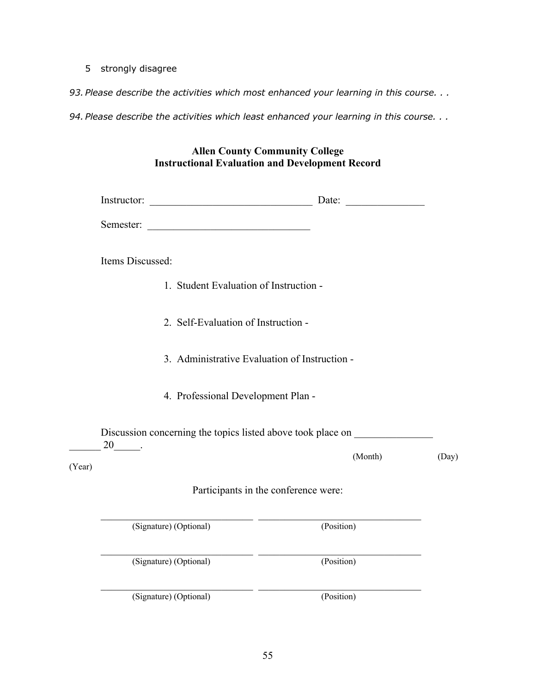5 strongly disagree

*93. Please describe the activities which most enhanced your learning in this course. . .*

*94. Please describe the activities which least enhanced your learning in this course. . .*

| <b>Allen County Community College</b>                  |
|--------------------------------------------------------|
| <b>Instructional Evaluation and Development Record</b> |

|                  | Instructor:                                   | Date:                                                       |       |
|------------------|-----------------------------------------------|-------------------------------------------------------------|-------|
|                  | Semester:                                     |                                                             |       |
| Items Discussed: |                                               |                                                             |       |
|                  | 1. Student Evaluation of Instruction -        |                                                             |       |
|                  | 2. Self-Evaluation of Instruction -           |                                                             |       |
|                  | 3. Administrative Evaluation of Instruction - |                                                             |       |
|                  | 4. Professional Development Plan -            |                                                             |       |
| $20$ $\qquad$ .  |                                               | Discussion concerning the topics listed above took place on |       |
| (Year)           |                                               | (Month)                                                     | (Day) |
|                  |                                               | Participants in the conference were:                        |       |
|                  | (Signature) (Optional)                        | (Position)                                                  |       |
|                  | (Signature) (Optional)                        | (Position)                                                  |       |
|                  | (Signature) (Optional)                        | (Position)                                                  |       |